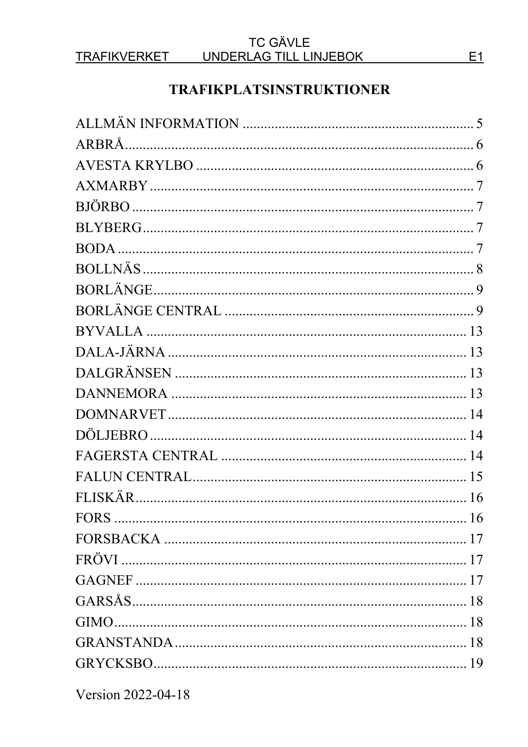#### **TRAFIKVERKET**

#### **TC GÄVLE** UNDERLAG TILL LINJEBOK

# **TRAFIKPLATSINSTRUKTIONER**

Version 2022-04-18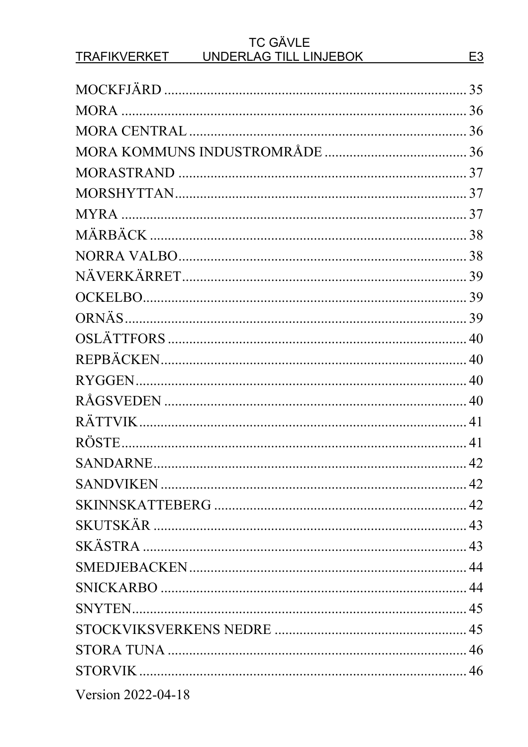| <b>TC GÄVLE</b><br><b>TRAFIKVERKET</b><br>UNDERLAG TILL LINJEBOK | E <sub>3</sub> |
|------------------------------------------------------------------|----------------|
|                                                                  |                |
|                                                                  |                |
|                                                                  |                |
|                                                                  |                |
|                                                                  |                |
|                                                                  |                |
|                                                                  |                |
|                                                                  |                |
|                                                                  |                |
|                                                                  |                |
|                                                                  |                |
|                                                                  |                |
|                                                                  |                |
|                                                                  |                |
|                                                                  |                |
|                                                                  |                |
|                                                                  |                |
|                                                                  |                |
|                                                                  |                |
|                                                                  |                |
|                                                                  |                |
|                                                                  |                |
|                                                                  |                |
|                                                                  |                |
|                                                                  |                |
|                                                                  |                |
|                                                                  |                |
|                                                                  |                |
|                                                                  |                |
|                                                                  |                |
| Version 2022-04-18                                               |                |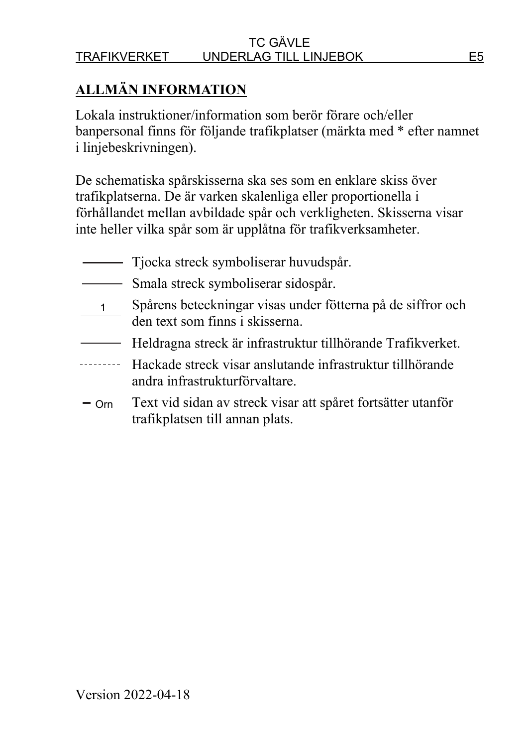# **ALLMÄN INFORMATION**

Lokala instruktioner/information som berör förare och/eller banpersonal finns för följande trafikplatser (märkta med \* efter namnet i linjebeskrivningen).

De schematiska spårskisserna ska ses som en enklare skiss över trafikplatserna. De är varken skalenliga eller proportionella i förhållandet mellan avbildade spår och verkligheten. Skisserna visar inte heller vilka spår som är upplåtna för trafikverksamheter.

- Tjocka streck symboliserar huvudspår.
- **Smala streck symboliserar sidospår.**
- Spårens beteckningar visas under fötterna på de siffror och den text som finns i skisserna.  $1 \_$
- Heldragna streck är infrastruktur tillhörande Trafikverket.
- Hackade streck visar anslutande infrastruktur tillhörande andra infrastrukturförvaltare.
- Text vid sidan av streck visar att spåret fortsätter utanför trafikplatsen till annan plats.  $-$  Orn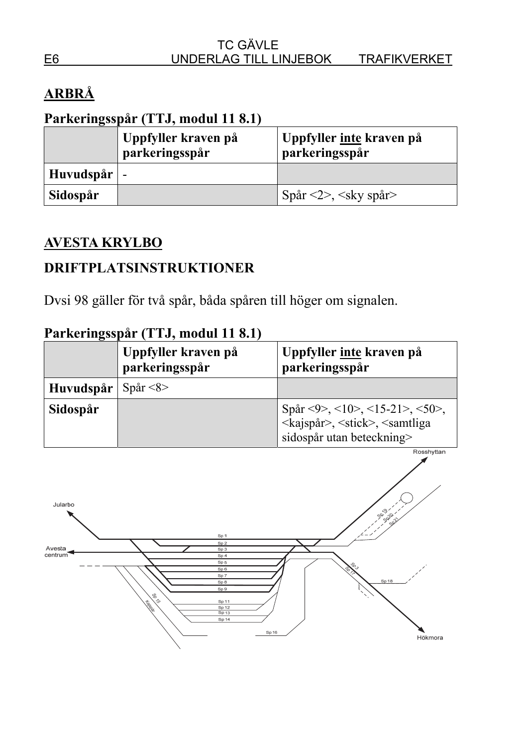# **ARBRÅ**

# **Parkeringsspår (TTJ, modul 11 8.1)**

|                     | Uppfyller kraven på<br>parkeringsspår | Uppfyller <u>inte</u> kraven på<br>parkeringsspår |
|---------------------|---------------------------------------|---------------------------------------------------|
| Huvudspår $\vert$ - |                                       |                                                   |
| Sidospår            |                                       | Spår $\langle 2 \rangle$ , $\langle$ sky spår $>$ |

## **AVESTA KRYLBO**

## **DRIFTPLATSINSTRUKTIONER**

Dvsi 98 gäller för två spår, båda spåren till höger om signalen.

|           | Uppfyller kraven på<br>parkeringsspår | Uppfyller inte kraven på<br>parkeringsspår                                                                                      |
|-----------|---------------------------------------|---------------------------------------------------------------------------------------------------------------------------------|
| Huvudspår | Spår $\langle 8 \rangle$              |                                                                                                                                 |
| Sidospår  |                                       | Spår <9>, <10>, <15-21>, <50>,<br><kajspår>, <stick>, <samtliga<br>sidospår utan beteckning&gt;</samtliga<br></stick></kajspår> |

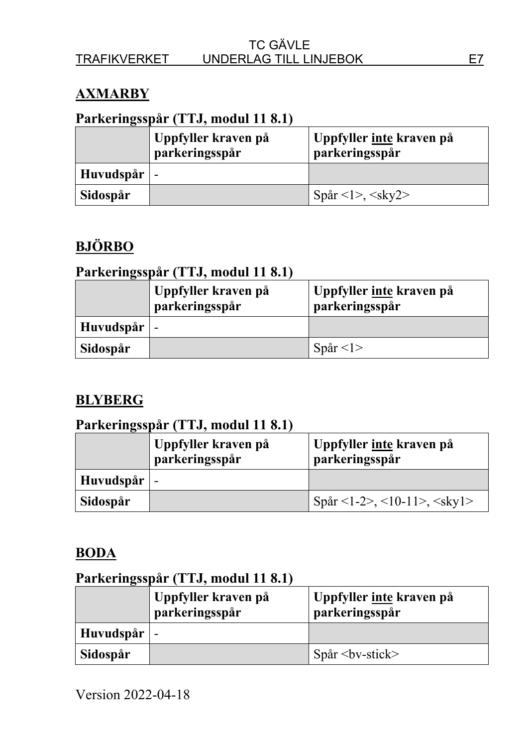## **AXMARBY**

## **Parkeringsspår (TTJ, modul 11 8.1)**

|                     | Uppfyller kraven på<br>parkeringsspår | Uppfyller <u>inte</u> kraven på<br>parkeringsspår |
|---------------------|---------------------------------------|---------------------------------------------------|
| Huvudspår $\vert$ - |                                       |                                                   |
| Sidospår            |                                       | Spår <1>, <sky2></sky2>                           |

# **BJÖRBO**

#### **Parkeringsspår (TTJ, modul 11 8.1)**

|                     | Uppfyller kraven på<br>parkeringsspår | Uppfyller inte kraven på<br>parkeringsspår |
|---------------------|---------------------------------------|--------------------------------------------|
| Huvudspår $\vert$ - |                                       |                                            |
| Sidospår            |                                       | Spar < 1                                   |

### **BLYBERG**

### **Parkeringsspår (TTJ, modul 11 8.1)**

|                     | Uppfyller kraven på<br>parkeringsspår | Uppfyller <u>inte</u> kraven på<br>parkeringsspår |
|---------------------|---------------------------------------|---------------------------------------------------|
| Huvudspår $\vert$ - |                                       |                                                   |
| Sidospår            |                                       | Spår <1-2>, <10-11>, <skyl></skyl>                |

#### **BODA**

|                     | Uppfyller kraven på<br>parkeringsspår | Uppfyller inte kraven på<br>parkeringsspår |
|---------------------|---------------------------------------|--------------------------------------------|
| Huvudspår $\vert$ - |                                       |                                            |
| Sidospår            |                                       | $Spar by-stick$                            |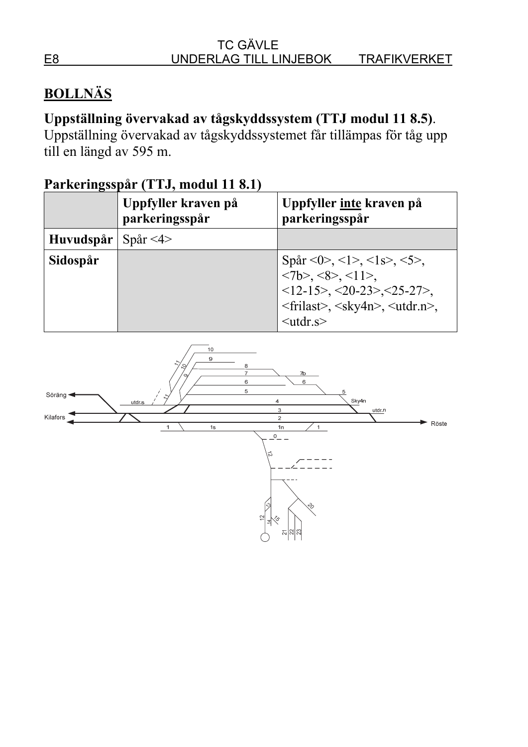# **BOLLNÄS**

# **Uppställning övervakad av tågskyddssystem (TTJ modul 11 8.5)**.

Uppställning övervakad av tågskyddssystemet får tillämpas för tåg upp till en längd av 595 m.

|           | Uppfyller kraven på<br>parkeringsspår | Uppfyller inte kraven på<br>parkeringsspår                                                                                                                                                 |
|-----------|---------------------------------------|--------------------------------------------------------------------------------------------------------------------------------------------------------------------------------------------|
| Huvudspår | Spar < 4                              |                                                                                                                                                                                            |
| Sidospår  |                                       | Spår <0>, <1>, <1s>, <5>,<br><7b>, <8>, <11>,<br>$<12-15$ , $<20-23$ , $<25-27$ ,<br><frilast>, <sky4n>, <utdr.n>,<br/><math>&lt;</math>utdr.s<math>&gt;</math></utdr.n></sky4n></frilast> |

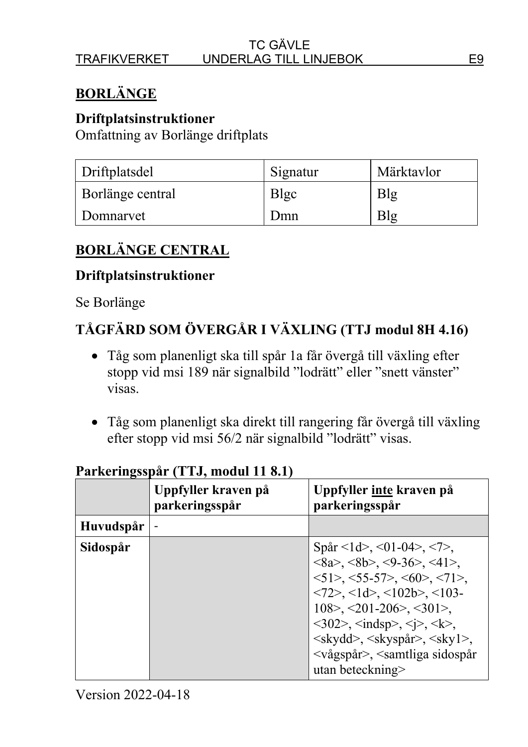# **BORLÄNGE**

#### **Driftplatsinstruktioner**

Omfattning av Borlänge driftplats

| Driftplatsdel    | Signatur | Märktavlor |
|------------------|----------|------------|
| Borlänge central | Blgc     | Blg        |
| Domnarvet        | Dmn      | Blg        |

# **BORLÄNGE CENTRAL**

#### **Driftplatsinstruktioner**

#### Se Borlänge

# **TÅGFÄRD SOM ÖVERGÅR I VÄXLING (TTJ modul 8H 4.16)**

- Tåg som planenligt ska till spår 1a får övergå till växling efter stopp vid msi 189 när signalbild "lodrätt" eller "snett vänster" visas.
- Tåg som planenligt ska direkt till rangering får övergå till växling efter stopp vid msi 56/2 när signalbild "lodrätt" visas.

|           | Uppfyller kraven på<br>parkeringsspår | Uppfyller <u>inte</u> kraven på<br>parkeringsspår                                                                                                                                                                                                                                                                                                                                                                                                                                                                                                                       |
|-----------|---------------------------------------|-------------------------------------------------------------------------------------------------------------------------------------------------------------------------------------------------------------------------------------------------------------------------------------------------------------------------------------------------------------------------------------------------------------------------------------------------------------------------------------------------------------------------------------------------------------------------|
| Huvudspår |                                       |                                                                                                                                                                                                                                                                                                                                                                                                                                                                                                                                                                         |
| Sidospår  |                                       | Spår <1d>, <01-04>, <7>,<br>$\langle 8a \rangle$ , $\langle 8b \rangle$ , $\langle 9-36 \rangle$ , $\langle 41 \rangle$ ,<br>$<$ 51>, $<$ 55-57>, $<$ 60>, $<$ 71>,<br>$\langle 72 \rangle$ , $\langle 1d \rangle$ , $\langle 102b \rangle$ , $\langle 103 -$<br>$108$ , $\leq$ 201-206 >, $\leq$ 301 >,<br>$\langle 302 \rangle$ , $\langle \text{indsp} \rangle$ , $\langle \text{i} \rangle$ , $\langle \text{k} \rangle$ ,<br><skydd>, <skyspår>, <skyl>,<br/><vågspår>, <samtliga sidospår<br="">utan beteckning&gt;</samtliga></vågspår></skyl></skyspår></skydd> |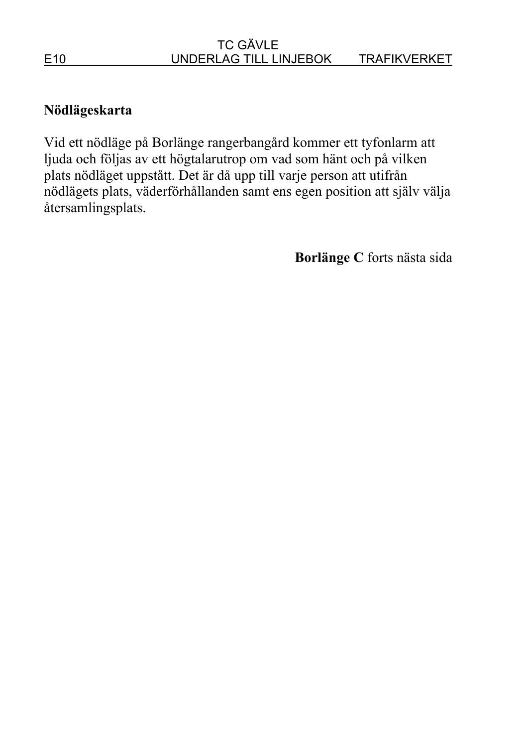### **Nödlägeskarta**

Vid ett nödläge på Borlänge rangerbangård kommer ett tyfonlarm att ljuda och följas av ett högtalarutrop om vad som hänt och på vilken plats nödläget uppstått. Det är då upp till varje person att utifrån nödlägets plats, väderförhållanden samt ens egen position att själv välja återsamlingsplats.

**Borlänge C** forts nästa sida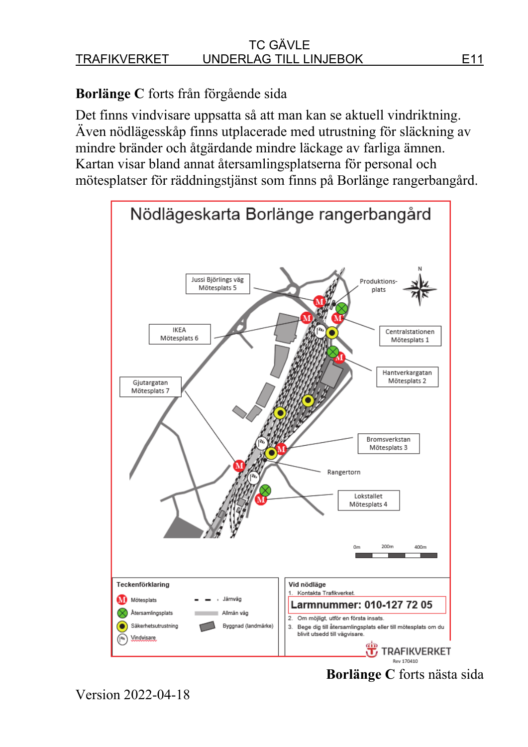# **Borlänge C** forts från förgående sida

Det finns vindvisare uppsatta så att man kan se aktuell vindriktning. Även nödlägesskåp finns utplacerade med utrustning för släckning av mindre bränder och åtgärdande mindre läckage av farliga ämnen. Kartan visar bland annat återsamlingsplatserna för personal och mötesplatser för räddningstjänst som finns på Borlänge rangerbangård.



Version 2022-04-18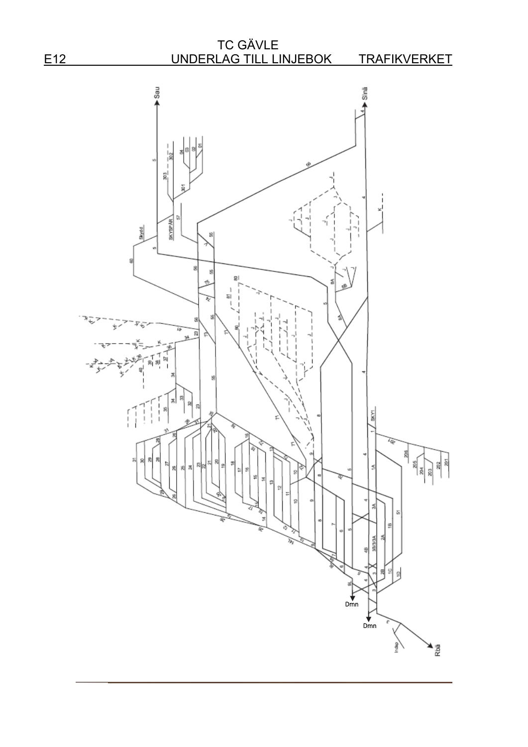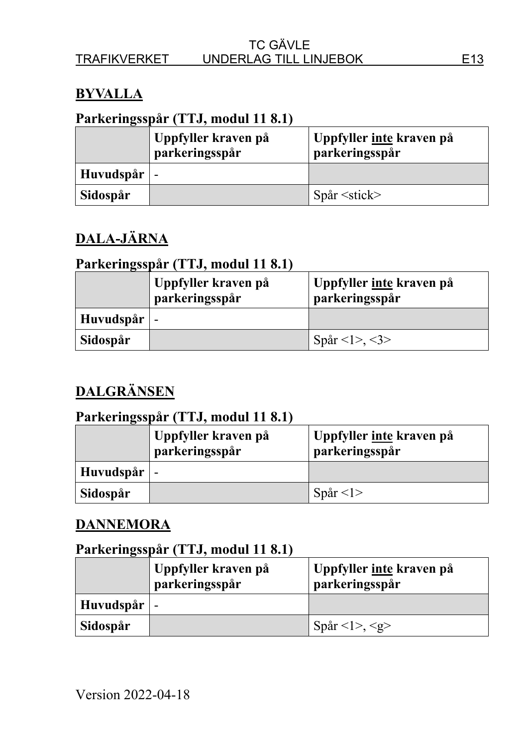### **BYVALLA**

#### **Parkeringsspår (TTJ, modul 11 8.1)**

|                     | Uppfyller kraven på<br>parkeringsspår | Uppfyller <u>inte</u> kraven på<br>parkeringsspår |
|---------------------|---------------------------------------|---------------------------------------------------|
| Huvudspår $\vert$ - |                                       |                                                   |
| Sidospår            |                                       | $Spar \leq stick$                                 |

# **DALA-JÄRNA**

### **Parkeringsspår (TTJ, modul 11 8.1)**

|           | Uppfyller kraven på<br>parkeringsspår | Uppfyller inte kraven på<br>parkeringsspår |
|-----------|---------------------------------------|--------------------------------------------|
| Huvudspår | $\overline{\phantom{a}}$              |                                            |
| Sidospår  |                                       | Spår <1>, <3>                              |

# **DALGRÄNSEN**

# **Parkeringsspår (TTJ, modul 11 8.1)**

|                     | Uppfyller kraven på<br>parkeringsspår | Uppfyller inte kraven på<br>parkeringsspår |
|---------------------|---------------------------------------|--------------------------------------------|
| Huvudspår $\vert$ - |                                       |                                            |
| Sidospår            |                                       | Spar <1>                                   |

# **DANNEMORA**

|           | Uppfyller kraven på<br>parkeringsspår | Uppfyller <u>inte</u> kraven på<br>parkeringsspår |
|-----------|---------------------------------------|---------------------------------------------------|
| Huvudspår |                                       |                                                   |
| Sidospår  |                                       | Spår <l>, <g></g></l>                             |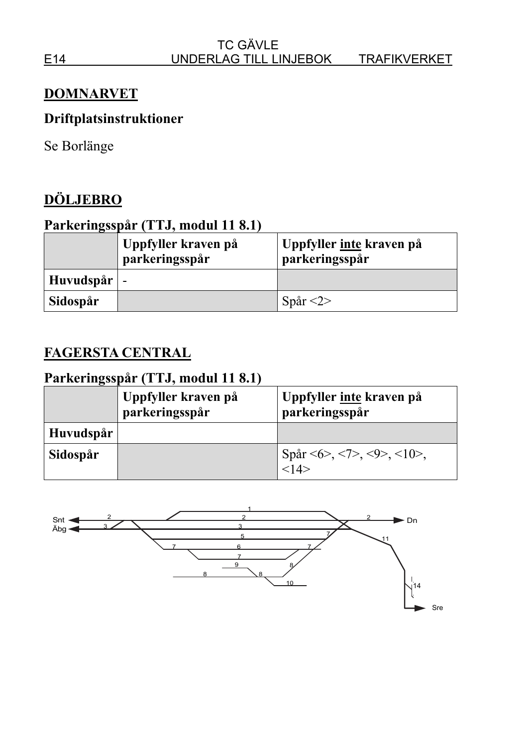#### **DOMNARVET**

# **Driftplatsinstruktioner**

Se Borlänge

# **DÖLJEBRO**

### **Parkeringsspår (TTJ, modul 11 8.1)**

|                     | Uppfyller kraven på<br>parkeringsspår | Uppfyller <u>inte</u> kraven på<br>parkeringsspår |
|---------------------|---------------------------------------|---------------------------------------------------|
| Huvudspår $\vert$ - |                                       |                                                   |
| Sidospår            |                                       | Spår $\langle 2 \rangle$                          |

#### **FAGERSTA CENTRAL**

|           | Uppfyller kraven på<br>parkeringsspår | Uppfyller inte kraven på<br>parkeringsspår  |
|-----------|---------------------------------------|---------------------------------------------|
| Huvudspår |                                       |                                             |
| Sidospår  |                                       | Spår <6>, <7>, <9>, <10>,<br>$\frac{1}{14}$ |

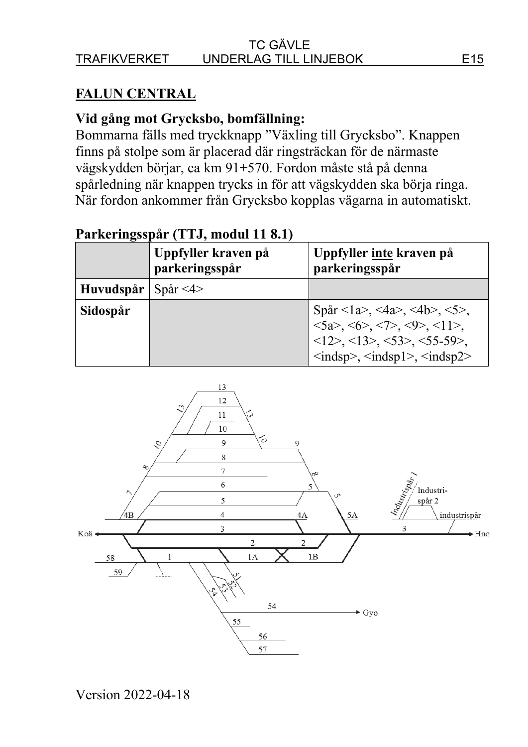#### TC GÄVLE TRAFIKVERKET UNDERLAG TILL LINJEBOK E15

## **FALUN CENTRAL**

#### **Vid gång mot Grycksbo, bomfällning:**

Bommarna fälls med tryckknapp "Växling till Grycksbo". Knappen finns på stolpe som är placerad där ringsträckan för de närmaste vägskydden börjar, ca km 91+570. Fordon måste stå på denna spårledning när knappen trycks in för att vägskydden ska börja ringa. När fordon ankommer från Grycksbo kopplas vägarna in automatiskt.

|           | Uppfyller kraven på<br>parkeringsspår | Uppfyller inte kraven på<br>parkeringsspår                                                                                                                                                                                                                                                                                                         |
|-----------|---------------------------------------|----------------------------------------------------------------------------------------------------------------------------------------------------------------------------------------------------------------------------------------------------------------------------------------------------------------------------------------------------|
| Huvudspår | $\text{Spar} < 4$                     |                                                                                                                                                                                                                                                                                                                                                    |
| Sidospår  |                                       | Spår <1a>, <4a>, <4b>, <5>,<br>$\langle 5a \rangle$ , $\langle 6 \rangle$ , $\langle 7 \rangle$ , $\langle 9 \rangle$ , $\langle 11 \rangle$ ,<br>$\langle 12 \rangle, \langle 13 \rangle, \langle 53 \rangle, \langle 55 \cdot 59 \rangle,$<br>$\langle \text{indsp} \rangle$ , $\langle \text{indsp1} \rangle$ , $\langle \text{indsp2} \rangle$ |

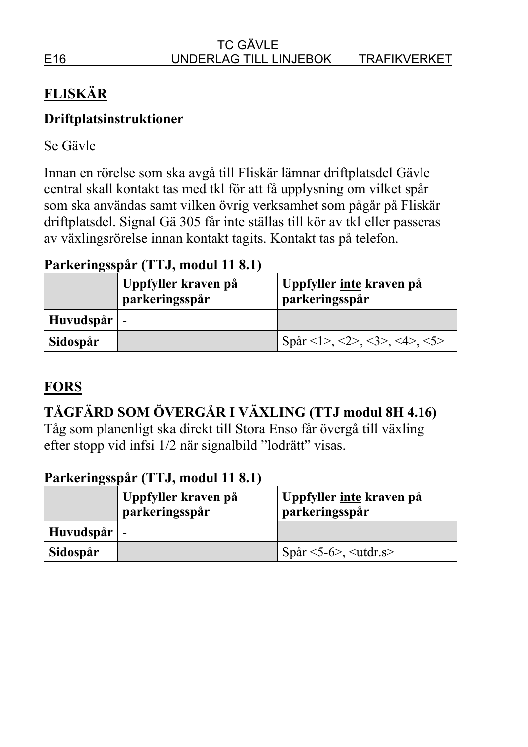# **FLISKÄR**

# **Driftplatsinstruktioner**

Se Gävle

Innan en rörelse som ska avgå till Fliskär lämnar driftplatsdel Gävle central skall kontakt tas med tkl för att få upplysning om vilket spår som ska användas samt vilken övrig verksamhet som pågår på Fliskär driftplatsdel. Signal Gä 305 får inte ställas till kör av tkl eller passeras av växlingsrörelse innan kontakt tagits. Kontakt tas på telefon.

# **Parkeringsspår (TTJ, modul 11 8.1)**

|                     | Uppfyller kraven på<br>parkeringsspår | Uppfyller <u>inte</u> kraven på<br>parkeringsspår |
|---------------------|---------------------------------------|---------------------------------------------------|
| Huvudspår $\vert$ - |                                       |                                                   |
| Sidospår            |                                       | Spår <1>, <2>, <3>, <4>, <5>                      |

# **FORS**

# **TÅGFÄRD SOM ÖVERGÅR I VÄXLING (TTJ modul 8H 4.16)**

Tåg som planenligt ska direkt till Stora Enso får övergå till växling efter stopp vid infsi 1/2 när signalbild "lodrätt" visas.

|                     | Uppfyller kraven på<br>parkeringsspår | Uppfyller <u>inte</u> kraven på<br>parkeringsspår |
|---------------------|---------------------------------------|---------------------------------------------------|
| Huvudspår $\vert$ - |                                       |                                                   |
| Sidospår            |                                       | $Spar < 5-6$ , $<$ utdr.s                         |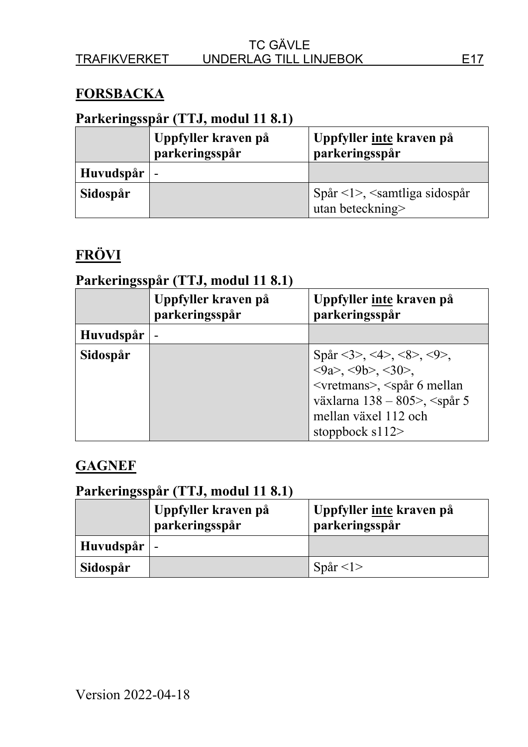#### **FORSBACKA**

## **Parkeringsspår (TTJ, modul 11 8.1)**

|           | Uppfyller kraven på<br>parkeringsspår | Uppfyller inte kraven på<br>parkeringsspår                 |
|-----------|---------------------------------------|------------------------------------------------------------|
| Huvudspår | $\overline{\phantom{a}}$              |                                                            |
| Sidospår  |                                       | $Spin < 1 >$ , $\le$ samtliga sidospår<br>utan beteckning> |

# **FRÖVI**

## **Parkeringsspår (TTJ, modul 11 8.1)**

|           | Uppfyller kraven på<br>parkeringsspår | Uppfyller inte kraven på<br>parkeringsspår                                                                                                                                                                                                                  |
|-----------|---------------------------------------|-------------------------------------------------------------------------------------------------------------------------------------------------------------------------------------------------------------------------------------------------------------|
| Huvudspår |                                       |                                                                                                                                                                                                                                                             |
| Sidospår  |                                       | Spår <3>, <4>, <8>, <9>,<br>$\langle 9a \rangle$ , $\langle 9b \rangle$ , $\langle 30 \rangle$ ,<br><vretmans>, <spår 6="" mellan<br="">växlarna 138 - 805&gt;, <spår 5<br="">mellan växel 112 och<br/>stoppbock <math>s112</math></spår></spår></vretmans> |

# **GAGNEF**

|                     | Uppfyller kraven på<br>parkeringsspår | Uppfyller inte kraven på<br>parkeringsspår |
|---------------------|---------------------------------------|--------------------------------------------|
| Huvudspår $\vert$ - |                                       |                                            |
| Sidospår            |                                       | Spår $\langle$ 1>                          |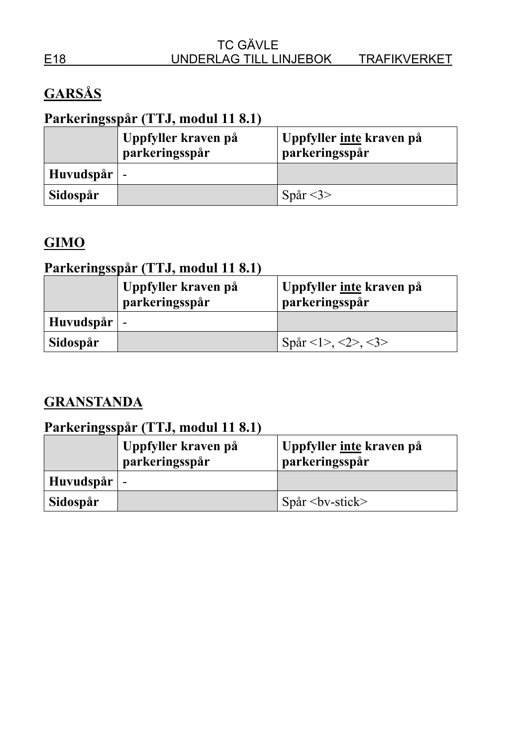# **GARSÅS**

# **Parkeringsspår (TTJ, modul 11 8.1)**

|                     | Uppfyller kraven på<br>parkeringsspår | Uppfyller inte kraven på<br>parkeringsspår |
|---------------------|---------------------------------------|--------------------------------------------|
| Huvudspår $\vert$ - |                                       |                                            |
| Sidospår            |                                       | Spår $<$ 3>                                |

# **GIMO**

# **Parkeringsspår (TTJ, modul 11 8.1)**

|                     | Uppfyller kraven på<br>parkeringsspår | Uppfyller <u>inte</u> kraven på<br>parkeringsspår |
|---------------------|---------------------------------------|---------------------------------------------------|
| Huvudspår $\vert$ - |                                       |                                                   |
| Sidospår            |                                       | Spår <1>, <2>, <3>                                |

## **GRANSTANDA**

|           | Uppfyller kraven på<br>parkeringsspår | Uppfyller inte kraven på<br>parkeringsspår |
|-----------|---------------------------------------|--------------------------------------------|
| Huvudspår | $\blacksquare$                        |                                            |
| Sidospår  |                                       | $Spar by-stick>$                           |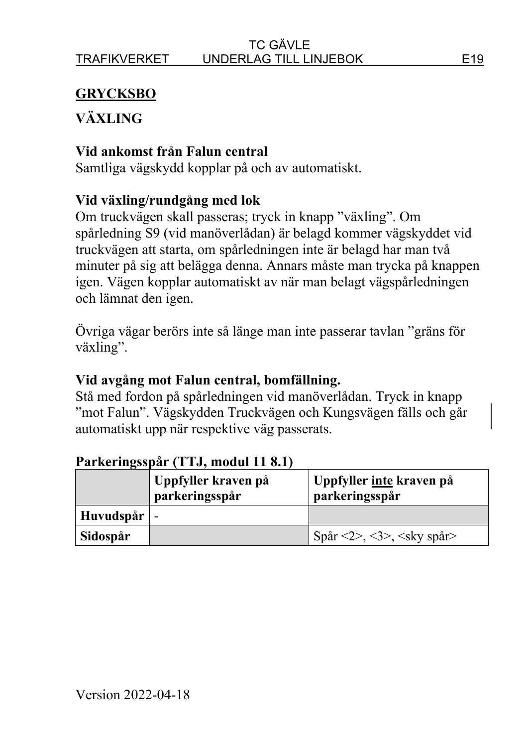# **GRYCKSBO**

# **VÄXLING**

### **Vid ankomst från Falun central**

Samtliga vägskydd kopplar på och av automatiskt.

## **Vid växling/rundgång med lok**

Om truckvägen skall passeras; tryck in knapp "växling". Om spårledning S9 (vid manöverlådan) är belagd kommer vägskyddet vid truckvägen att starta, om spårledningen inte är belagd har man två minuter på sig att belägga denna. Annars måste man trycka på knappen igen. Vägen kopplar automatiskt av när man belagt vägspårledningen och lämnat den igen.

Övriga vägar berörs inte så länge man inte passerar tavlan "gräns för växling".

## **Vid avgång mot Falun central, bomfällning.**

Stå med fordon på spårledningen vid manöverlådan. Tryck in knapp "mot Falun". Vägskydden Truckvägen och Kungsvägen fälls och går automatiskt upp när respektive väg passerats.

|                     | Uppfyller kraven på<br>parkeringsspår | Uppfyller <u>inte</u> kraven på<br>parkeringsspår |
|---------------------|---------------------------------------|---------------------------------------------------|
| Huvudspår $\vert$ - |                                       |                                                   |
| Sidospår            |                                       | Spår <2>, <3>, <sky spår=""></sky>                |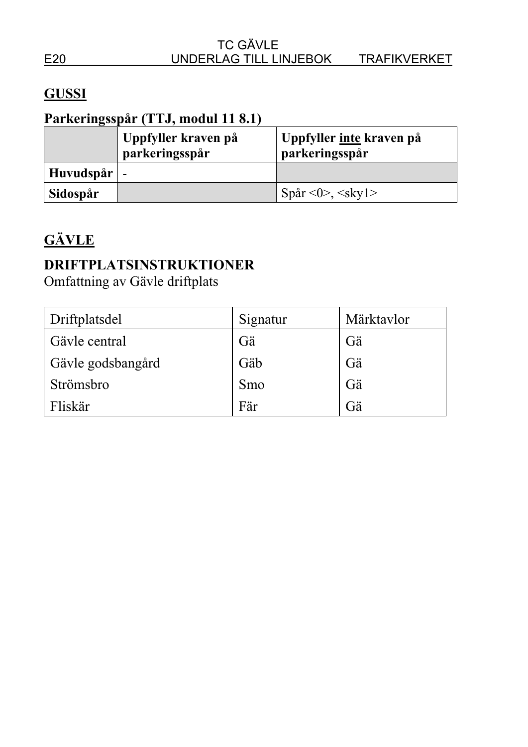# **GUSSI**

# **Parkeringsspår (TTJ, modul 11 8.1)**

|                     | Uppfyller kraven på<br>parkeringsspår | Uppfyller inte kraven på<br>parkeringsspår |
|---------------------|---------------------------------------|--------------------------------------------|
| Huvudspår $\vert$ - |                                       |                                            |
| Sidospår            |                                       | Spår <0>, <skyl></skyl>                    |

# **GÄVLE**

# **DRIFTPLATSINSTRUKTIONER**

Omfattning av Gävle driftplats

| Driftplatsdel     | Signatur | Märktavlor |
|-------------------|----------|------------|
| Gävle central     | Gä       | Gä         |
| Gävle godsbangård | Gäb      | Gä         |
| Strömsbro         | Smo      | Gä         |
| Fliskär           | Fär      | Gä         |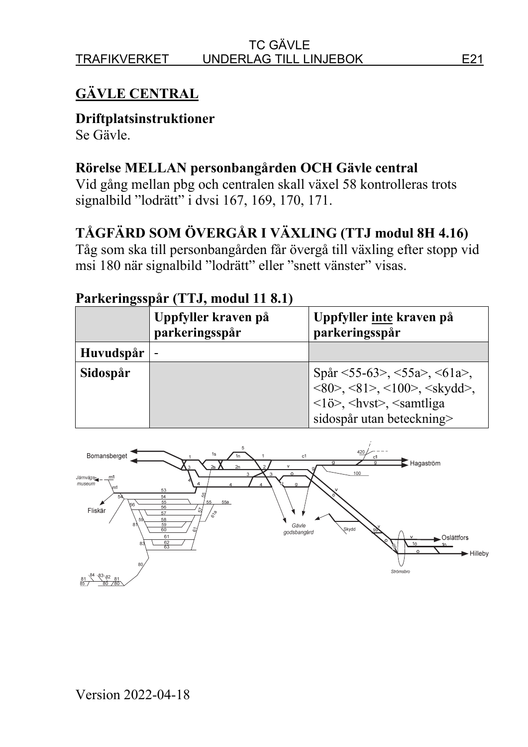# **GÄVLE CENTRAL**

**Driftplatsinstruktioner** 

Se Gävle.

### **Rörelse MELLAN personbangården OCH Gävle central**

Vid gång mellan pbg och centralen skall växel 58 kontrolleras trots signalbild "lodrätt" i dvsi 167, 169, 170, 171.

# **TÅGFÄRD SOM ÖVERGÅR I VÄXLING (TTJ modul 8H 4.16)**

Tåg som ska till personbangården får övergå till växling efter stopp vid msi 180 när signalbild "lodrätt" eller "snett vänster" visas.

|           | Uppfyller kraven på<br>parkeringsspår | Uppfyller inte kraven på<br>parkeringsspår                                                                                                                                                                              |
|-----------|---------------------------------------|-------------------------------------------------------------------------------------------------------------------------------------------------------------------------------------------------------------------------|
| Huvudspår |                                       |                                                                                                                                                                                                                         |
| Sidospår  |                                       | Spår <55-63>, <55a>, <61a>,<br>$\langle 80 \rangle$ , $\langle 81 \rangle$ , $\langle 100 \rangle$ , $\langle$ skydd $\rangle$ ,<br><lob>, <hvst>, <samtliga<br>sidospår utan beteckning&gt;</samtliga<br></hvst></lob> |

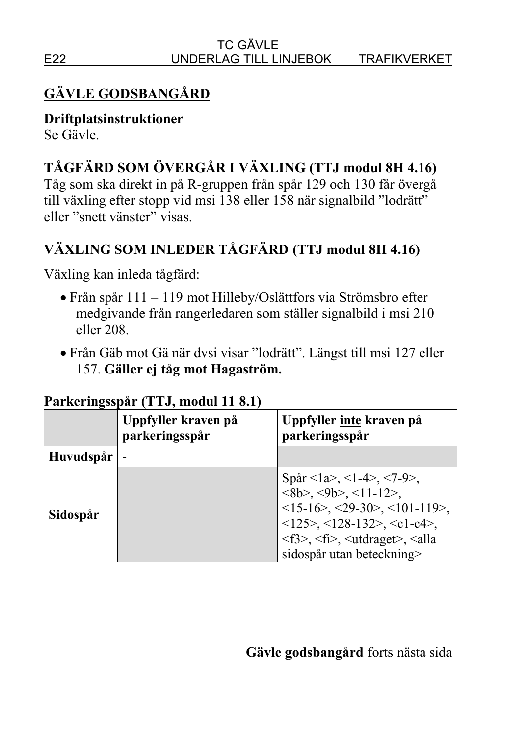# **GÄVLE GODSBANGÅRD**

**Driftplatsinstruktioner**  Se Gävle.

# **TÅGFÄRD SOM ÖVERGÅR I VÄXLING (TTJ modul 8H 4.16)**

Tåg som ska direkt in på R-gruppen från spår 129 och 130 får övergå till växling efter stopp vid msi 138 eller 158 när signalbild "lodrätt" eller "snett vänster" visas.

# **VÄXLING SOM INLEDER TÅGFÄRD (TTJ modul 8H 4.16)**

Växling kan inleda tågfärd:

- Från spår 111 119 mot Hilleby/Oslättfors via Strömsbro efter medgivande från rangerledaren som ställer signalbild i msi 210 eller 208.
- Från Gäb mot Gä när dvsi visar "lodrätt". Längst till msi 127 eller 157. **Gäller ej tåg mot Hagaström.**

|           | Uppfyller kraven på<br>parkeringsspår | Uppfyller inte kraven på<br>parkeringsspår                                                                                                                                                                                                                                                                                                                                  |
|-----------|---------------------------------------|-----------------------------------------------------------------------------------------------------------------------------------------------------------------------------------------------------------------------------------------------------------------------------------------------------------------------------------------------------------------------------|
| Huvudspår |                                       |                                                                                                                                                                                                                                                                                                                                                                             |
| Sidospår  |                                       | Spår <1a>, <1-4>, <7-9>,<br>$\langle 8b \rangle$ , $\langle 9b \rangle$ , $\langle 11-12 \rangle$ ,<br>$\leq$ 15-16>, $\leq$ 29-30>, $\leq$ 101-119>,<br>$\langle 125 \rangle, \langle 128 - 132 \rangle, \langle 1 - c4 \rangle,$<br>$\langle f3 \rangle$ , $\langle f1 \rangle$ , $\langle utdraget \rangle$ , $\langle \text{alla} \rangle$<br>sidospår utan beteckning> |

## **Parkeringsspår (TTJ, modul 11 8.1)**

## **Gävle godsbangård** forts nästa sida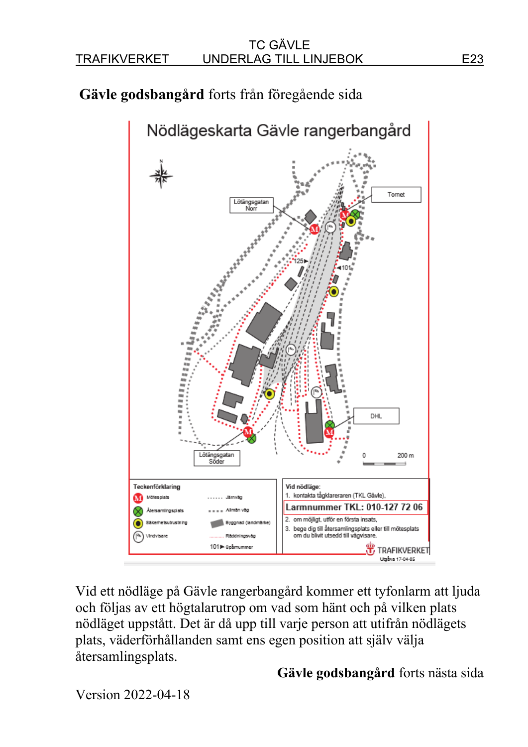# **Gävle godsbangård** forts från föregående sida



Vid ett nödläge på Gävle rangerbangård kommer ett tyfonlarm att ljuda och följas av ett högtalarutrop om vad som hänt och på vilken plats nödläget uppstått. Det är då upp till varje person att utifrån nödlägets plats, väderförhållanden samt ens egen position att själv välja återsamlingsplats.

#### **Gävle godsbangård** forts nästa sida

Version 2022-04-18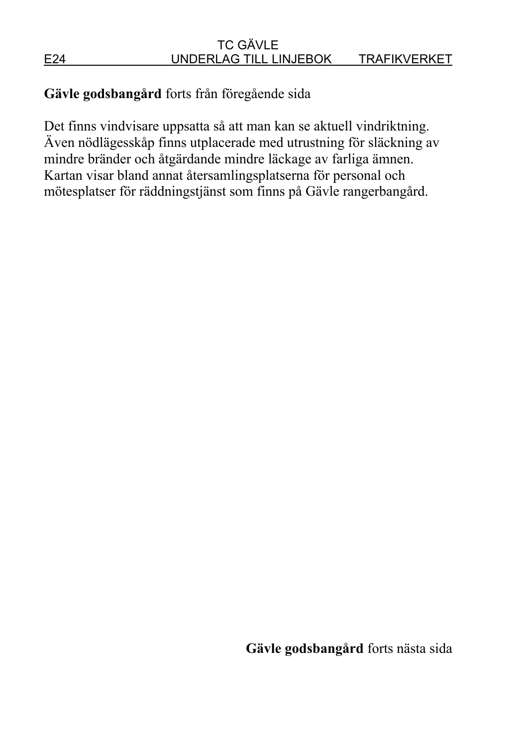## **Gävle godsbangård** forts från föregående sida

Det finns vindvisare uppsatta så att man kan se aktuell vindriktning. Även nödlägesskåp finns utplacerade med utrustning för släckning av mindre bränder och åtgärdande mindre läckage av farliga ämnen. Kartan visar bland annat återsamlingsplatserna för personal och mötesplatser för räddningstjänst som finns på Gävle rangerbangård.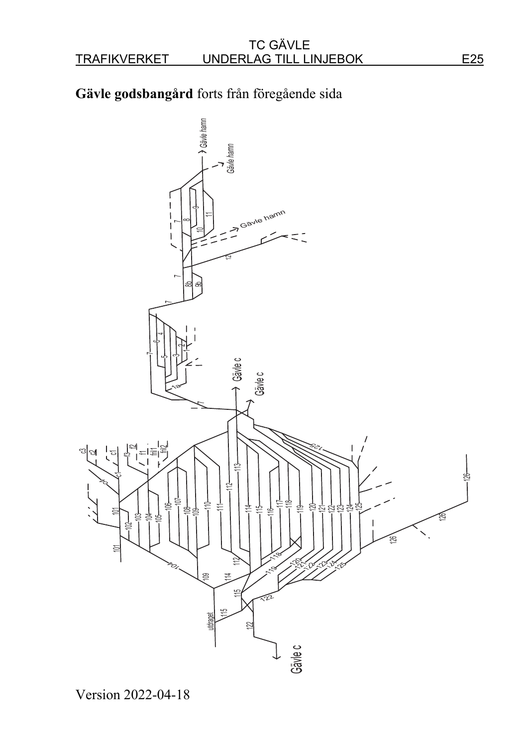# **Gävle godsbangård** forts från föregående sida



Version 2022-04-18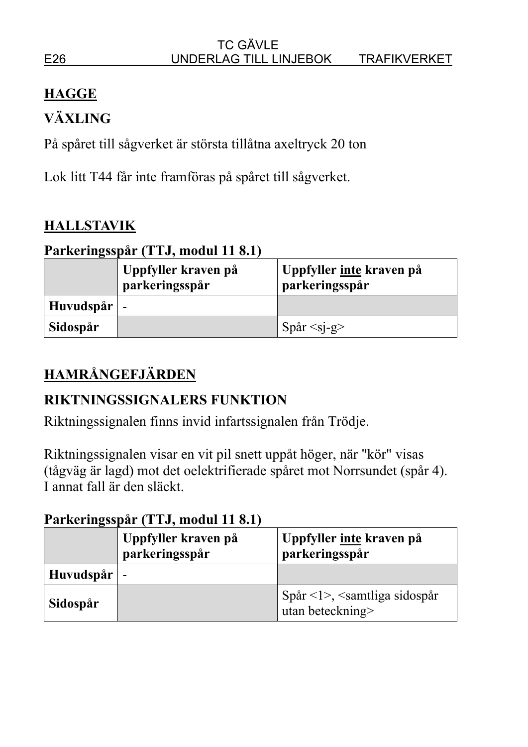# **HAGGE**

# **VÄXLING**

På spåret till sågverket är största tillåtna axeltryck 20 ton

Lok litt T44 får inte framföras på spåret till sågverket.

# **HALLSTAVIK**

# **Parkeringsspår (TTJ, modul 11 8.1)**

|                     | Uppfyller kraven på<br>parkeringsspår | Uppfyller <u>inte</u> kraven på<br>parkeringsspår |
|---------------------|---------------------------------------|---------------------------------------------------|
| Huvudspår $\vert$ - |                                       |                                                   |
| Sidospår            |                                       | $Spar <$ sj-g>                                    |

# **HAMRÅNGEFJÄRDEN**

# **RIKTNINGSSIGNALERS FUNKTION**

Riktningssignalen finns invid infartssignalen från Trödje.

Riktningssignalen visar en vit pil snett uppåt höger, när "kör" visas (tågväg är lagd) mot det oelektrifierade spåret mot Norrsundet (spår 4). I annat fall är den släckt.

|                     | Uppfyller kraven på<br>parkeringsspår | Uppfyller <u>inte</u> kraven på<br>parkeringsspår           |
|---------------------|---------------------------------------|-------------------------------------------------------------|
| Huvudspår $\vert$ - |                                       |                                                             |
| Sidospår            |                                       | Spår $\leq$ >, $\leq$ samtliga sidospår<br>utan beteckning> |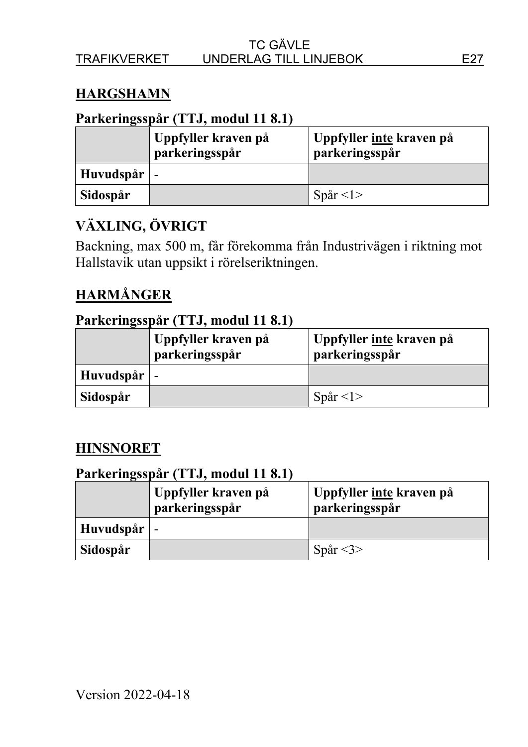### **HARGSHAMN**

#### **Parkeringsspår (TTJ, modul 11 8.1)**

|                     | Uppfyller kraven på<br>parkeringsspår | Uppfyller <u>inte</u> kraven på<br>parkeringsspår |
|---------------------|---------------------------------------|---------------------------------------------------|
| Huvudspår $\vert$ - |                                       |                                                   |
| Sidospår            |                                       | Spår $\leq l$                                     |

# **VÄXLING, ÖVRIGT**

Backning, max 500 m, får förekomma från Industrivägen i riktning mot Hallstavik utan uppsikt i rörelseriktningen.

# **HARMÅNGER**

#### **Parkeringsspår (TTJ, modul 11 8.1)**

|                     | Uppfyller kraven på<br>parkeringsspår | Uppfyller inte kraven på<br>parkeringsspår |
|---------------------|---------------------------------------|--------------------------------------------|
| Huvudspår $\vert$ - |                                       |                                            |
| Sidospår            |                                       | Spår $\langle$ 1>                          |

#### **HINSNORET**

|                 | Uppfyller kraven på<br>parkeringsspår | Uppfyller inte kraven på<br>parkeringsspår |
|-----------------|---------------------------------------|--------------------------------------------|
| $Huvudspår$   - |                                       |                                            |
| Sidospår        |                                       | Spår $<$ 3>                                |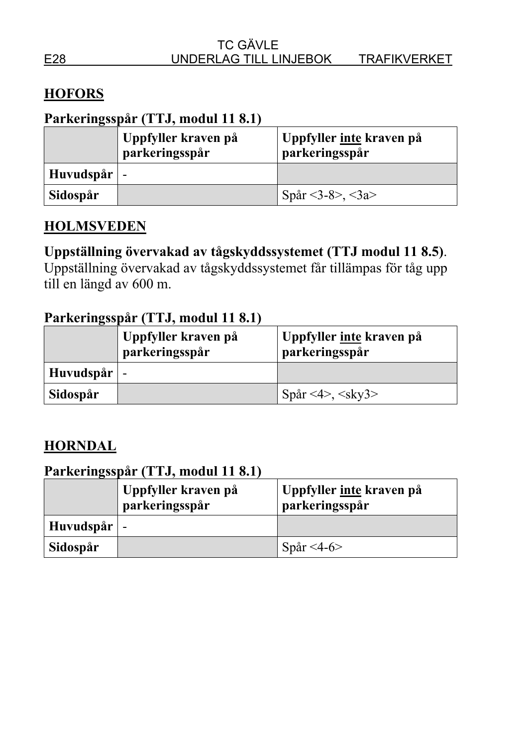# **HOFORS**

### **Parkeringsspår (TTJ, modul 11 8.1)**

|                     | Uppfyller kraven på<br>parkeringsspår | Uppfyller <u>inte</u> kraven på<br>parkeringsspår |
|---------------------|---------------------------------------|---------------------------------------------------|
| Huvudspår $\vert$ - |                                       |                                                   |
| Sidospår            |                                       | Spår <3-8>, <3a>                                  |

#### **HOLMSVEDEN**

## **Uppställning övervakad av tågskyddssystemet (TTJ modul 11 8.5)**.

Uppställning övervakad av tågskyddssystemet får tillämpas för tåg upp till en längd av 600 m.

#### **Parkeringsspår (TTJ, modul 11 8.1)**

|                 | Uppfyller kraven på<br>parkeringsspår | Uppfyller <u>inte</u> kraven på<br>parkeringsspår |
|-----------------|---------------------------------------|---------------------------------------------------|
| $Huvudspår$   - |                                       |                                                   |
| Sidospår        |                                       | Spår <4>, <sky3></sky3>                           |

## **HORNDAL**

|                     | Uppfyller kraven på<br>parkeringsspår | Uppfyller <u>inte</u> kraven på<br>parkeringsspår |
|---------------------|---------------------------------------|---------------------------------------------------|
| Huvudspår $\vert$ - |                                       |                                                   |
| Sidospår            |                                       | Spår <4-6>                                        |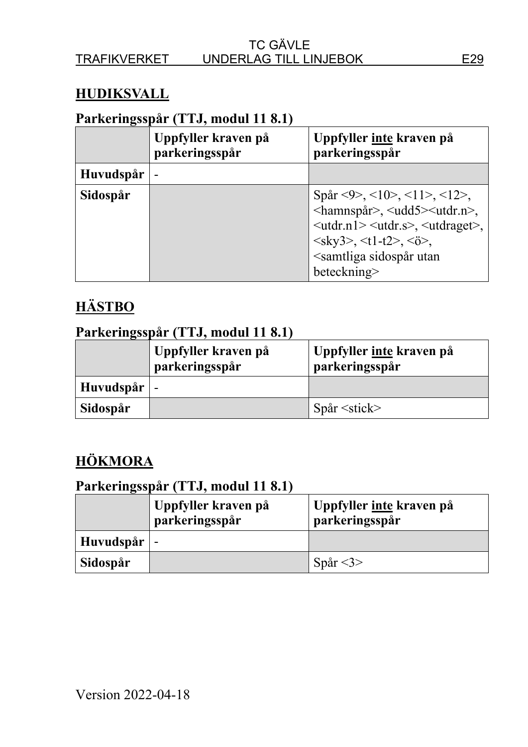### **HUDIKSVALL**

## **Parkeringsspår (TTJ, modul 11 8.1)**

|           | Uppfyller kraven på<br>parkeringsspår | Uppfyller inte kraven på<br>parkeringsspår                                                                                                                                                                                                                                                                         |
|-----------|---------------------------------------|--------------------------------------------------------------------------------------------------------------------------------------------------------------------------------------------------------------------------------------------------------------------------------------------------------------------|
| Huvudspår |                                       |                                                                                                                                                                                                                                                                                                                    |
| Sidospår  |                                       | Spår <9>, <10>, <11>, <12>,<br><hamnspår>, <udd5><utdr.n>,<br/><utdr.n1> <utdr.s>, <utdraget>,<br/><math>\langle</math>sky3&gt;, <math>\langle</math>t1-t2&gt;, <math>\langle</math>ö&gt;,<br/><samtliga sidospår="" utan<br="">beteckning&gt;</samtliga></utdraget></utdr.s></utdr.n1></utdr.n></udd5></hamnspår> |

# **HÄSTBO**

#### **Parkeringsspår (TTJ, modul 11 8.1)**

|                     | Uppfyller kraven på<br>parkeringsspår | Uppfyller inte kraven på<br>parkeringsspår |
|---------------------|---------------------------------------|--------------------------------------------|
| Huvudspår $\vert$ - |                                       |                                            |
| Sidospår            |                                       | $Spar \leq stick$                          |

# **HÖKMORA**

|                     | Uppfyller kraven på<br>parkeringsspår | Uppfyller <u>inte</u> kraven på<br>parkeringsspår |
|---------------------|---------------------------------------|---------------------------------------------------|
| Huvudspår $\vert$ - |                                       |                                                   |
| Sidospår            |                                       | Spår $<$ 3>                                       |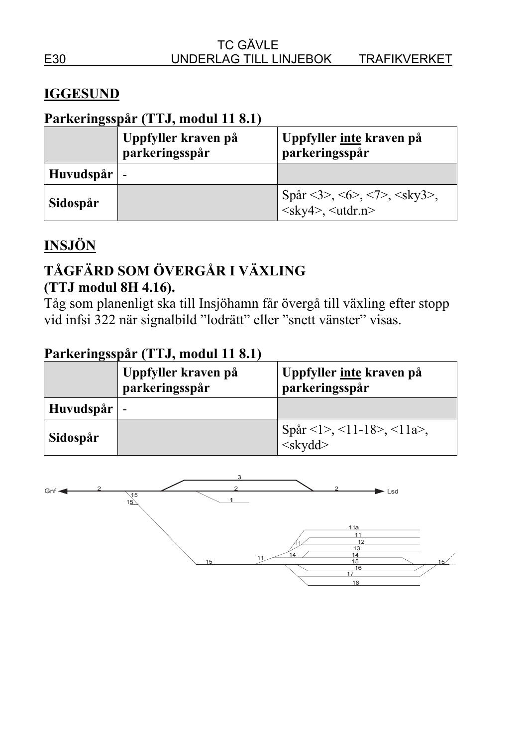### **IGGESUND**

# **Parkeringsspår (TTJ, modul 11 8.1)**

|                     | Uppfyller kraven på<br>parkeringsspår | Uppfyller inte kraven på<br>parkeringsspår                                                          |
|---------------------|---------------------------------------|-----------------------------------------------------------------------------------------------------|
| Huvudspår $\vert$ - |                                       |                                                                                                     |
| Sidospår            |                                       | Spår <3>, <6>, <7>, <sky3>,<br/><math>\langle</math>sky4&gt;, <math>\langle</math>utdr.n&gt;</sky3> |

# **INSJÖN**

# **TÅGFÄRD SOM ÖVERGÅR I VÄXLING (TTJ modul 8H 4.16).**

Tåg som planenligt ska till Insjöhamn får övergå till växling efter stopp vid infsi 322 när signalbild "lodrätt" eller "snett vänster" visas.

|           | Uppfyller kraven på<br>parkeringsspår | Uppfyller <u>inte</u> kraven på<br>parkeringsspår |
|-----------|---------------------------------------|---------------------------------------------------|
| Huvudspår | ı —                                   |                                                   |
| Sidospår  |                                       | Spår <1>, <11-18>, <11a>, <skydd></skydd>         |

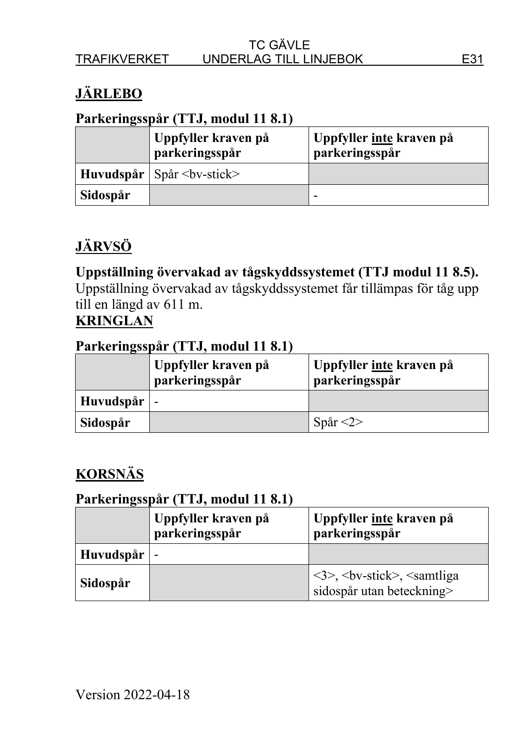# **JÄRLEBO**

#### **Parkeringsspår (TTJ, modul 11 8.1)**

|          | Uppfyller kraven på<br>parkeringsspår    | Uppfyller inte kraven på<br>parkeringsspår |
|----------|------------------------------------------|--------------------------------------------|
|          | <b>Huvudspår</b>   Spår $<$ bv-stick $>$ |                                            |
| Sidospår |                                          | -                                          |

# **JÄRVSÖ**

# **Uppställning övervakad av tågskyddssystemet (TTJ modul 11 8.5).**

Uppställning övervakad av tågskyddssystemet får tillämpas för tåg upp till en längd av 611 m.

# **KRINGLAN**

#### **Parkeringsspår (TTJ, modul 11 8.1)**

|               | Uppfyller kraven på<br>parkeringsspår | Uppfyller <u>inte</u> kraven på<br>parkeringsspår |
|---------------|---------------------------------------|---------------------------------------------------|
| Huvudspår   - |                                       |                                                   |
| Sidospår      |                                       | Spår $\langle 2 \rangle$                          |

# **KORSNÄS**

|           | Uppfyller kraven på<br>parkeringsspår | Uppfyller inte kraven på<br>parkeringsspår                                                           |
|-----------|---------------------------------------|------------------------------------------------------------------------------------------------------|
| Huvudspår | $\overline{\phantom{a}}$              |                                                                                                      |
| Sidospår  |                                       | $\langle 3 \rangle$ , $\langle$ bv-stick $\rangle$ , $\langle$ samtliga<br>sidospår utan beteckning> |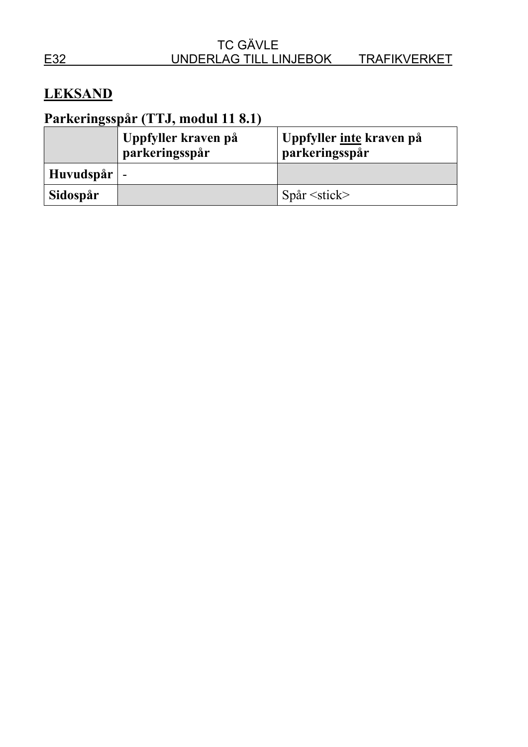# **LEKSAND**

|                     | Uppfyller kraven på<br>parkeringsspår | Uppfyller <u>inte</u> kraven på<br>parkeringsspår |
|---------------------|---------------------------------------|---------------------------------------------------|
| Huvudspår $\vert$ - |                                       |                                                   |
| Sidospår            |                                       | $Spar \leq stick$                                 |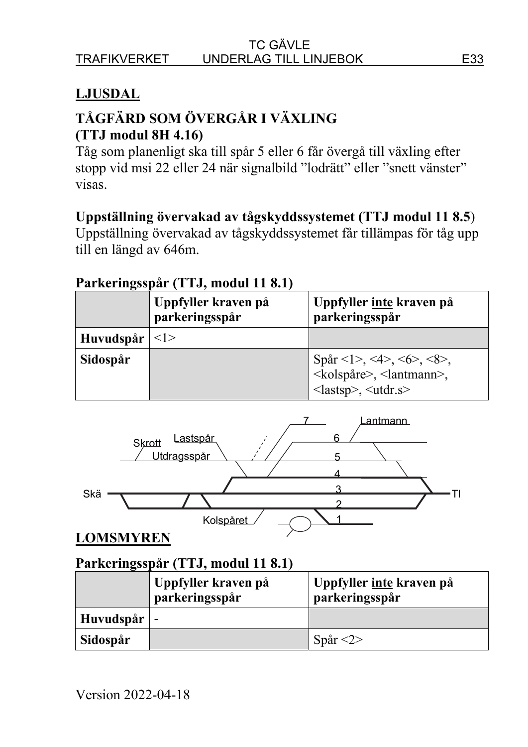# **LJUSDAL**

# **TÅGFÄRD SOM ÖVERGÅR I VÄXLING (TTJ modul 8H 4.16)**

Tåg som planenligt ska till spår 5 eller 6 får övergå till växling efter stopp vid msi 22 eller 24 när signalbild "lodrätt" eller "snett vänster" visas.

### **Uppställning övervakad av tågskyddssystemet (TTJ modul 11 8.5**)

Uppställning övervakad av tågskyddssystemet får tillämpas för tåg upp till en längd av 646m.

#### **Parkeringsspår (TTJ, modul 11 8.1)**

|           | Uppfyller kraven på<br>parkeringsspår | Uppfyller inte kraven på<br>parkeringsspår                                                                                                              |
|-----------|---------------------------------------|---------------------------------------------------------------------------------------------------------------------------------------------------------|
| Huvudspår | <1>                                   |                                                                                                                                                         |
| Sidospår  |                                       | Spår <1>, <4>, <6>, <8>,<br><kolspåre>, <lantmann>,<br/><math>\langle \text{lastsp} \rangle, \langle \text{utdr.s} \rangle</math></lantmann></kolspåre> |



### **LOMSMYREN**

|                     | 'Uppfyller kraven på<br>parkeringsspår | Uppfyller <u>inte</u> kraven på<br>parkeringsspår |
|---------------------|----------------------------------------|---------------------------------------------------|
| Huvudspår $\vert$ - |                                        |                                                   |
| Sidospår            |                                        | Spår $\langle 2 \rangle$                          |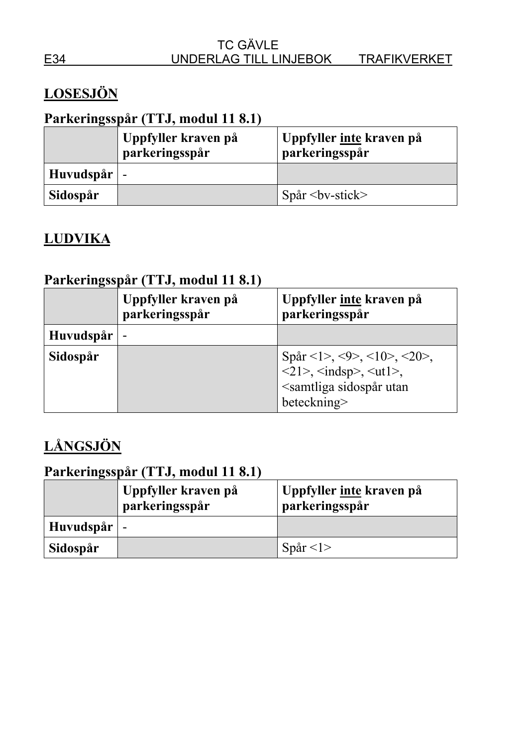# **LOSESJÖN**

# **Parkeringsspår (TTJ, modul 11 8.1)**

|                     | Uppfyller kraven på<br>parkeringsspår | Uppfyller <u>inte</u> kraven på<br>parkeringsspår |
|---------------------|---------------------------------------|---------------------------------------------------|
| Huvudspår $\vert$ - |                                       |                                                   |
| Sidospår            |                                       | $Spar by-stick>$                                  |

# **LUDVIKA**

# **Parkeringsspår (TTJ, modul 11 8.1)**

|                  | Uppfyller kraven på<br>parkeringsspår | Uppfyller inte kraven på<br>parkeringsspår                                                                                                   |
|------------------|---------------------------------------|----------------------------------------------------------------------------------------------------------------------------------------------|
| <b>Huvudspår</b> |                                       |                                                                                                                                              |
| Sidospår         |                                       | Spår <1>, <9>, <10>, <20>,<br>$\langle$ 21>, $\langle$ indsp>, $\langle$ ut1>,<br><samtliga sidospår="" utan<br="">beteckning&gt;</samtliga> |

# **LÅNGSJÖN**

|                     | Uppfyller kraven på<br>parkeringsspår | Uppfyller <u>inte</u> kraven på<br>parkeringsspår |
|---------------------|---------------------------------------|---------------------------------------------------|
| Huvudspår $\vert$ - |                                       |                                                   |
| Sidospår            |                                       | Spår $\leq l$ >                                   |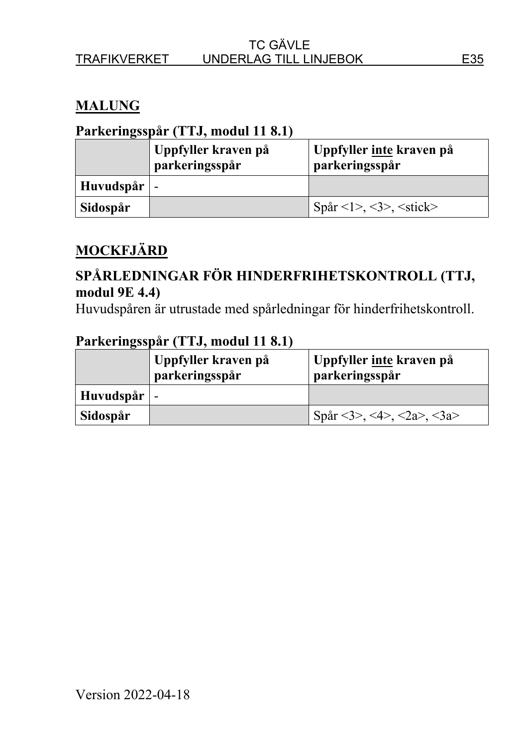# **MALUNG**

#### **Parkeringsspår (TTJ, modul 11 8.1)**

|           | Uppfyller kraven på<br>parkeringsspår | Uppfyller inte kraven på<br>parkeringsspår |
|-----------|---------------------------------------|--------------------------------------------|
| Huvudspår |                                       |                                            |
| Sidospår  |                                       | $Spar < 1 >, <3 >, <$ stick>               |

# **MOCKFJÄRD**

## **SPÅRLEDNINGAR FÖR HINDERFRIHETSKONTROLL (TTJ, modul 9E 4.4)**

Huvudspåren är utrustade med spårledningar för hinderfrihetskontroll.

|                     | Uppfyller kraven på<br>parkeringsspår | Uppfyller <u>inte</u> kraven på<br>parkeringsspår |
|---------------------|---------------------------------------|---------------------------------------------------|
| Huvudspår $\vert$ - |                                       |                                                   |
| Sidospår            |                                       | Spår <3>, <4>, <2a>, <3a>                         |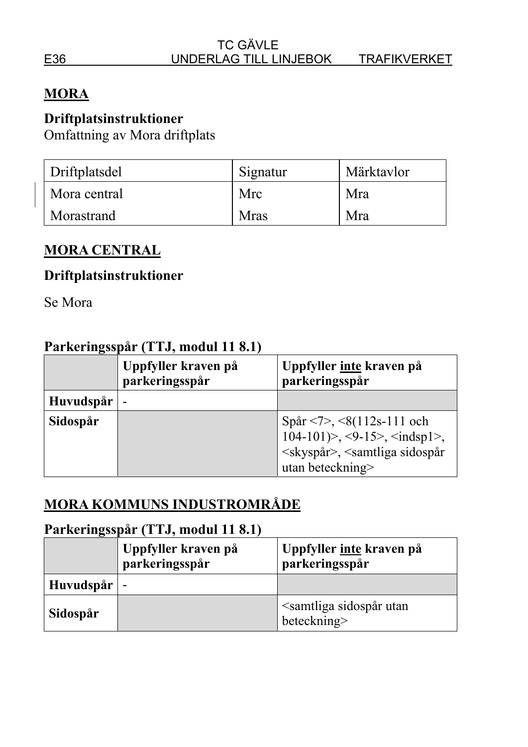#### TC GÄVLE E36 UNDERLAG TILL LINJEBOK TRAFIKVERKET

## **MORA**

#### **Driftplatsinstruktioner**

Omfattning av Mora driftplats

| Driftplatsdel | Signatur | Märktavlor |
|---------------|----------|------------|
| Mora central  | Mrc      | Mra        |
| Morastrand    | Mras     | Mra        |

#### **MORA CENTRAL**

#### **Driftplatsinstruktioner**

Se Mora

#### **Parkeringsspår (TTJ, modul 11 8.1)**

|                  | Uppfyller kraven på<br>parkeringsspår | Uppfyller inte kraven på<br>parkeringsspår                                                                                                             |
|------------------|---------------------------------------|--------------------------------------------------------------------------------------------------------------------------------------------------------|
| <b>Huvudspår</b> | $\overline{\phantom{0}}$              |                                                                                                                                                        |
| Sidospår         |                                       | Spår <7>, <8(112s-111 och<br>$104-101$ )>, <9-15>, <indsp1>,<br/><skyspår>, <samtliga sidospår<br="">utan beteckning&gt;</samtliga></skyspår></indsp1> |

# **MORA KOMMUNS INDUSTROMRÅDE**

|                     | Uppfyller kraven på<br>parkeringsspår | Uppfyller inte kraven på<br>parkeringsspår                 |
|---------------------|---------------------------------------|------------------------------------------------------------|
| Huvudspår $\vert$ - |                                       |                                                            |
| Sidospår            |                                       | <samtliga sidospår="" utan<br="">beteckning&gt;</samtliga> |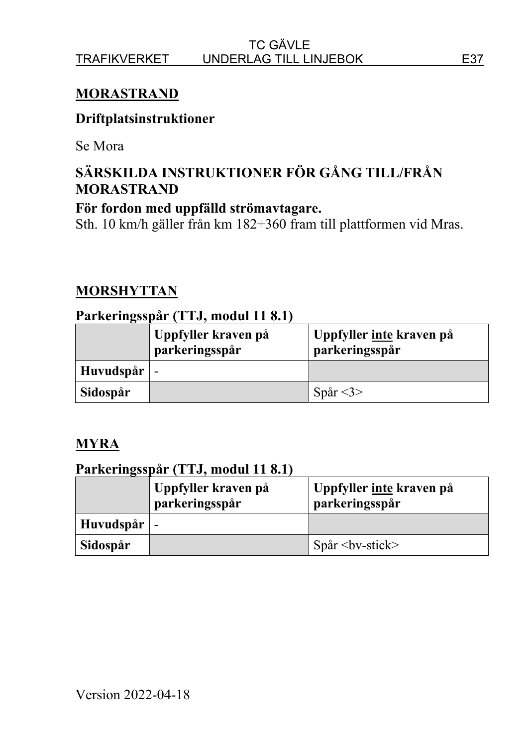## **MORASTRAND**

#### **Driftplatsinstruktioner**

Se Mora

# **SÄRSKILDA INSTRUKTIONER FÖR GÅNG TILL/FRÅN MORASTRAND**

#### **För fordon med uppfälld strömavtagare.**

Sth. 10 km/h gäller från km 182+360 fram till plattformen vid Mras.

### **MORSHYTTAN**

#### **Parkeringsspår (TTJ, modul 11 8.1)**

|                 | Uppfyller kraven på<br>parkeringsspår | Uppfyller <u>inte</u> kraven på<br>parkeringsspår |
|-----------------|---------------------------------------|---------------------------------------------------|
| $Huvudspår$   - |                                       |                                                   |
| Sidospår        |                                       | Spår $<$ 3>                                       |

#### **MYRA**

|                 | Uppfyller kraven på<br>parkeringsspår | Uppfyller <u>inte</u> kraven på<br>parkeringsspår |
|-----------------|---------------------------------------|---------------------------------------------------|
| $Huvudspår$   - |                                       |                                                   |
| Sidospår        |                                       | $Spar by-stick$                                   |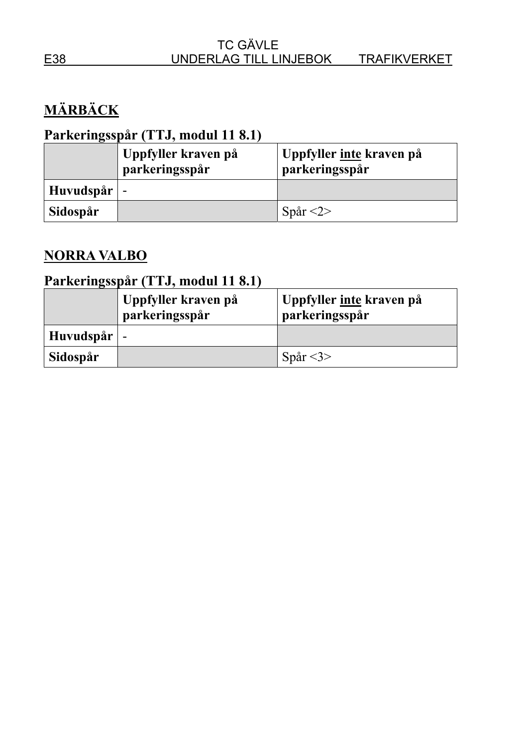# **MÄRBÄCK**

# **Parkeringsspår (TTJ, modul 11 8.1)**

|               | Uppfyller kraven på<br>parkeringsspår | Uppfyller inte kraven på<br>parkeringsspår |
|---------------|---------------------------------------|--------------------------------------------|
| Huvudspår   - |                                       |                                            |
| Sidospår      |                                       | Spår $\langle 2 \rangle$                   |

# **NORRA VALBO**

|               | Uppfyller kraven på<br>parkeringsspår | Uppfyller <u>inte</u> kraven på<br>parkeringsspår |
|---------------|---------------------------------------|---------------------------------------------------|
| Huvudspår   - |                                       |                                                   |
| Sidospår      |                                       | Spår $<$ 3>                                       |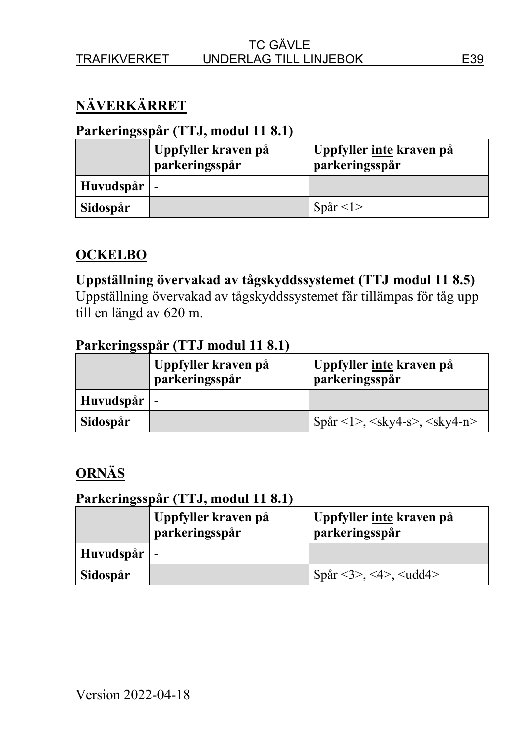# **NÄVERKÄRRET**

#### **Parkeringsspår (TTJ, modul 11 8.1)**

|           | Uppfyller kraven på<br>parkeringsspår | Uppfyller inte kraven på<br>parkeringsspår |
|-----------|---------------------------------------|--------------------------------------------|
| Huvudspår |                                       |                                            |
| Sidospår  |                                       | Spår $\langle$ 1>                          |

# **OCKELBO**

## **Uppställning övervakad av tågskyddssystemet (TTJ modul 11 8.5)**

Uppställning övervakad av tågskyddssystemet får tillämpas för tåg upp till en längd av 620 m.

#### **Parkeringsspår (TTJ modul 11 8.1)**

|           | Uppfyller kraven på<br>parkeringsspår | Uppfyller inte kraven på<br>parkeringsspår |
|-----------|---------------------------------------|--------------------------------------------|
| Huvudspår |                                       |                                            |
| Sidospår  |                                       | $Spar <1>, , $                             |

# **ORNÄS**

|                     | Uppfyller kraven på<br>parkeringsspår | Uppfyller inte kraven på<br>parkeringsspår |
|---------------------|---------------------------------------|--------------------------------------------|
| Huvudspår $\vert$ - |                                       |                                            |
| Sidospår            |                                       | Spår <3>, <4>, <udd4></udd4>               |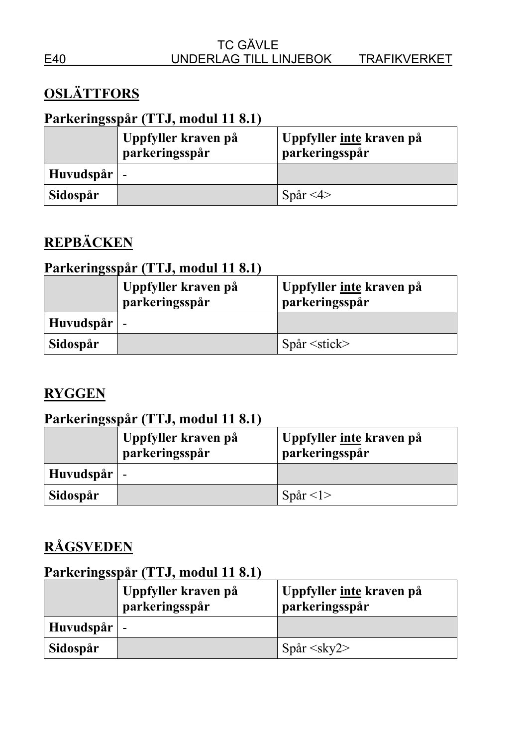# **OSLÄTTFORS**

# **Parkeringsspår (TTJ, modul 11 8.1)**

|                     | Uppfyller kraven på<br>parkeringsspår | Uppfyller <u>inte</u> kraven på<br>parkeringsspår |
|---------------------|---------------------------------------|---------------------------------------------------|
| Huvudspår $\vert$ - |                                       |                                                   |
| Sidospår            |                                       | Spår $\leq 4$ >                                   |

# **REPBÄCKEN**

## **Parkeringsspår (TTJ, modul 11 8.1)**

|                     | Uppfyller kraven på<br>parkeringsspår | Uppfyller inte kraven på<br>parkeringsspår |
|---------------------|---------------------------------------|--------------------------------------------|
| Huvudspår $\vert$ - |                                       |                                            |
| Sidospår            |                                       | $Spar \leq stick$                          |

## **RYGGEN**

## **Parkeringsspår (TTJ, modul 11 8.1)**

|           | Uppfyller kraven på<br>parkeringsspår | Uppfyller inte kraven på<br>parkeringsspår |
|-----------|---------------------------------------|--------------------------------------------|
| Huvudspår |                                       |                                            |
| Sidospår  |                                       | Spår $\langle$ 1>                          |

# **RÅGSVEDEN**

|                     | Uppfyller kraven på<br>parkeringsspår | Uppfyller <u>inte</u> kraven på<br>parkeringsspår |
|---------------------|---------------------------------------|---------------------------------------------------|
| Huvudspår $\vert$ - |                                       |                                                   |
| Sidospår            |                                       | $Spar \leq sky2$                                  |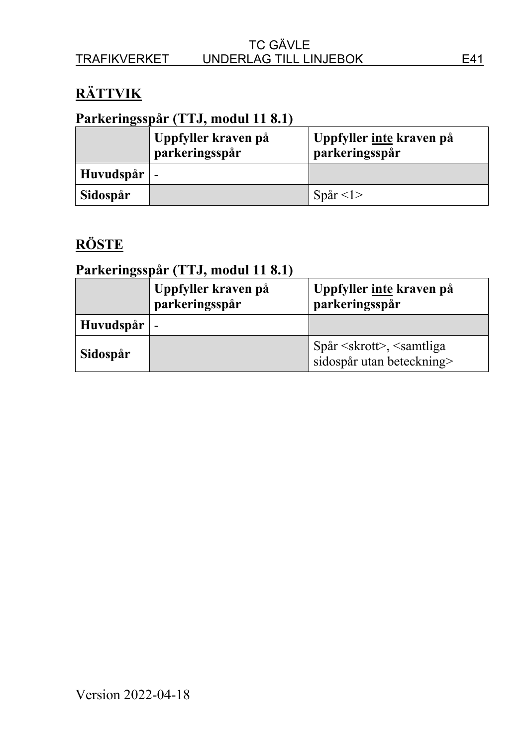# **RÄTTVIK**

## **Parkeringsspår (TTJ, modul 11 8.1)**

|                     | Uppfyller kraven på<br>parkeringsspår | Uppfyller <u>inte</u> kraven på<br>parkeringsspår |
|---------------------|---------------------------------------|---------------------------------------------------|
| Huvudspår $\vert$ - |                                       |                                                   |
| Sidospår            |                                       | Spår $\leq l$                                     |

# **RÖSTE**

|                     | Uppfyller kraven på<br>parkeringsspår | Uppfyller inte kraven på<br>parkeringsspår                      |
|---------------------|---------------------------------------|-----------------------------------------------------------------|
| Huvudspår $\vert$ - |                                       |                                                                 |
| Sidospår            |                                       | $Spar \le skrott$ , $\le samtliga$<br>sidospår utan beteckning> |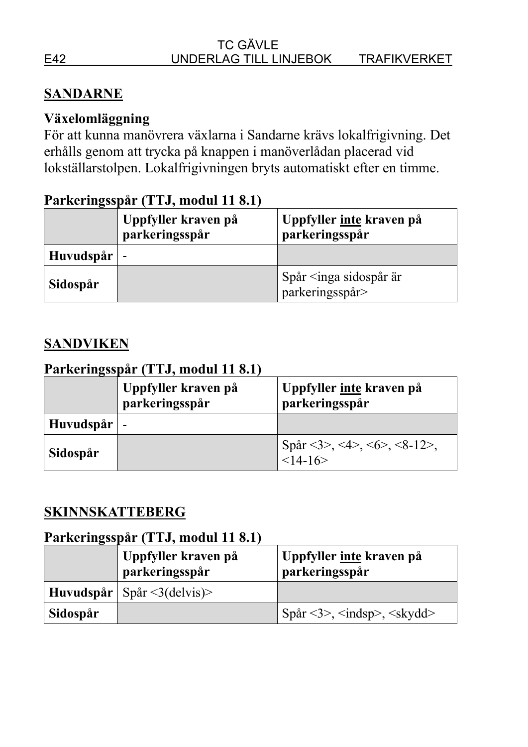## **SANDARNE**

# **Växelomläggning**

För att kunna manövrera växlarna i Sandarne krävs lokalfrigivning. Det erhålls genom att trycka på knappen i manöverlådan placerad vid lokställarstolpen. Lokalfrigivningen bryts automatiskt efter en timme.

### **Parkeringsspår (TTJ, modul 11 8.1)**

|                     | Uppfyller kraven på<br>parkeringsspår | Uppfyller inte kraven på<br>parkeringsspår      |
|---------------------|---------------------------------------|-------------------------------------------------|
| Huvudspår $\vert$ - |                                       |                                                 |
| Sidospår            |                                       | Spår $\leq$ inga sidospår är<br>parkeringsspår> |

### **SANDVIKEN**

## **Parkeringsspår (TTJ, modul 11 8.1)**

|                     | Uppfyller kraven på<br>parkeringsspår | Uppfyller inte kraven på<br>parkeringsspår |
|---------------------|---------------------------------------|--------------------------------------------|
| Huvudspår $\vert$ - |                                       |                                            |
| Sidospår            |                                       | Spår <3>, <4>, <6>, <8-12>,<br>$<14-16>$   |

#### **SKINNSKATTEBERG**

|          | Uppfyller kraven på<br>parkeringsspår | Uppfyller inte kraven på<br>parkeringsspår |
|----------|---------------------------------------|--------------------------------------------|
|          | Huvudspår   Spår $\leq$ 3(delvis)>    |                                            |
| Sidospår |                                       | Spar <3>, <i>indsp</i> , <i>skydd</i>      |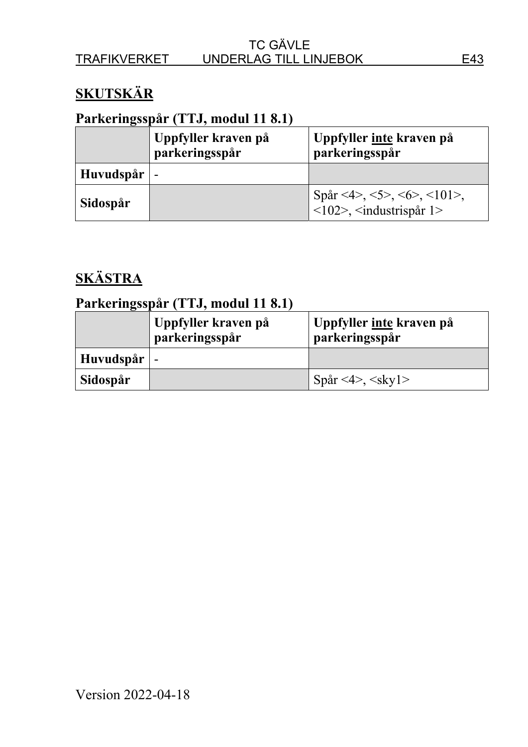# **SKUTSKÄR**

# **Parkeringsspår (TTJ, modul 11 8.1)**

|           | Uppfyller kraven på<br>parkeringsspår | Uppfyller inte kraven på<br>parkeringsspår                              |
|-----------|---------------------------------------|-------------------------------------------------------------------------|
| Huvudspår | $\overline{\phantom{a}}$              |                                                                         |
| Sidospår  |                                       | Spår <4>, <5>, <6>, <101>,<br>$\langle$ 102>, $\langle$ industrispår 1> |

# **SKÄSTRA**

|                     | Uppfyller kraven på<br>parkeringsspår | Uppfyller <u>inte</u> kraven på<br>parkeringsspår |
|---------------------|---------------------------------------|---------------------------------------------------|
| Huvudspår $\vert$ - |                                       |                                                   |
| Sidospår            |                                       | Spår <4>, <skyl></skyl>                           |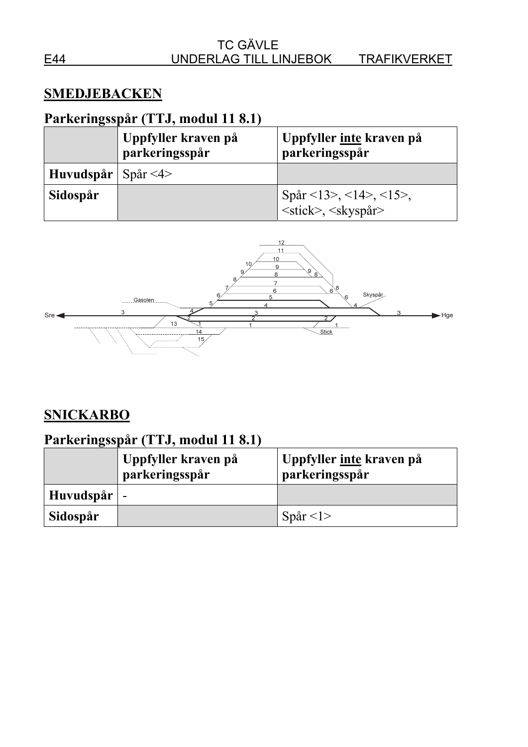#### **SMEDJEBACKEN**

# **Parkeringsspår (TTJ, modul 11 8.1)**

|                      | Uppfyller kraven på<br>parkeringsspår | Uppfyller inte kraven på<br>parkeringsspår                     |
|----------------------|---------------------------------------|----------------------------------------------------------------|
| Huvudspår   Spår <4> |                                       |                                                                |
| Sidospår             |                                       | Spår <13>, <14>, <15>,<br><stick>, <skyspår></skyspår></stick> |



# **SNICKARBO**

|                     | Uppfyller kraven på<br>parkeringsspår | Uppfyller <u>inte</u> kraven på<br>parkeringsspår |
|---------------------|---------------------------------------|---------------------------------------------------|
| Huvudspår $\vert$ - |                                       |                                                   |
| Sidospår            |                                       | Spår $\langle$ 1>                                 |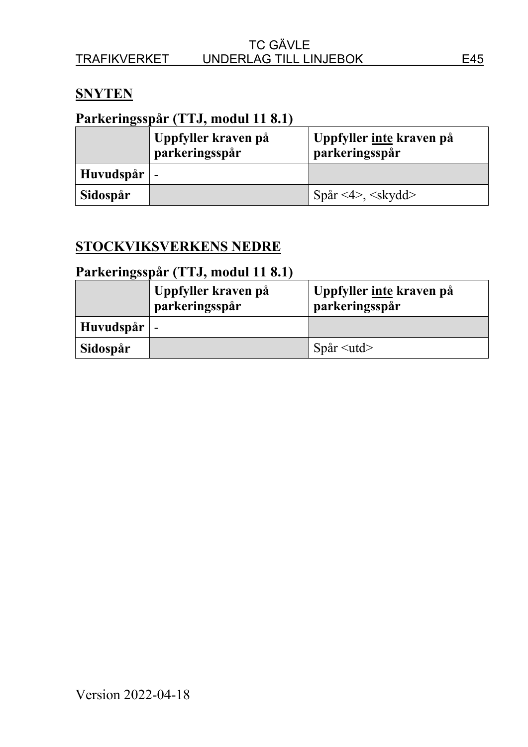#### **SNYTEN**

## **Parkeringsspår (TTJ, modul 11 8.1)**

|                     | Uppfyller kraven på<br>parkeringsspår | Uppfyller <u>inte</u> kraven på<br>parkeringsspår |
|---------------------|---------------------------------------|---------------------------------------------------|
| Huvudspår $\vert$ - |                                       |                                                   |
| Sidospår            |                                       | Spår <4>, <skydd></skydd>                         |

#### **STOCKVIKSVERKENS NEDRE**

|                     | Uppfyller kraven på<br>parkeringsspår | Uppfyller inte kraven på<br>parkeringsspår |
|---------------------|---------------------------------------|--------------------------------------------|
| Huvudspår $\vert$ - |                                       |                                            |
| Sidospår            |                                       | Spar < utd                                 |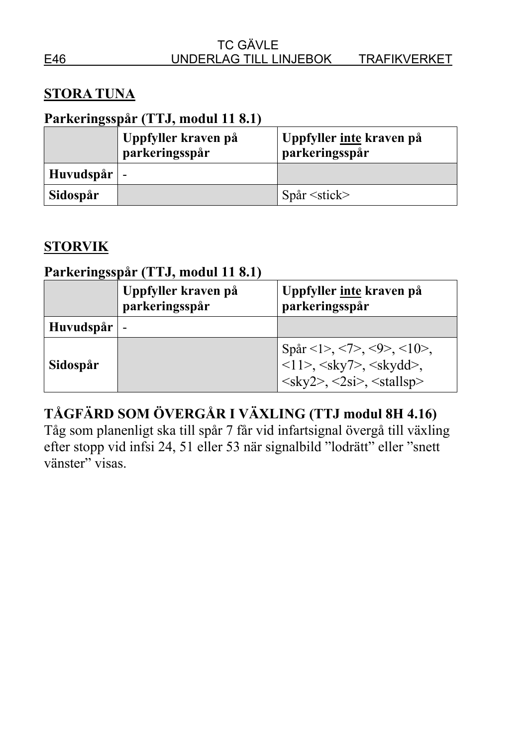## **STORA TUNA**

### **Parkeringsspår (TTJ, modul 11 8.1)**

|                     | Uppfyller kraven på<br>parkeringsspår | Uppfyller <u>inte</u> kraven på<br>parkeringsspår |
|---------------------|---------------------------------------|---------------------------------------------------|
| Huvudspår $\vert$ - |                                       |                                                   |
| Sidospår            |                                       | $Spar \leq stick$                                 |

### **STORVIK**

# **Parkeringsspår (TTJ, modul 11 8.1)**

|               | Uppfyller kraven på<br>parkeringsspår | Uppfyller inte kraven på<br>parkeringsspår                                                                                                               |
|---------------|---------------------------------------|----------------------------------------------------------------------------------------------------------------------------------------------------------|
| Huvudspår   - |                                       |                                                                                                                                                          |
| Sidospår      |                                       | Spår <1>, <7>, <9>, <10>,<br><11>, <sky7>, <skydd>,<br/><math>&lt;</math>sky2&gt;, <math>&lt;</math>2si&gt;, <math>&lt;</math>stallsp&gt;</skydd></sky7> |

# **TÅGFÄRD SOM ÖVERGÅR I VÄXLING (TTJ modul 8H 4.16)**

Tåg som planenligt ska till spår 7 får vid infartsignal övergå till växling efter stopp vid infsi 24, 51 eller 53 när signalbild "lodrätt" eller "snett vänster" visas.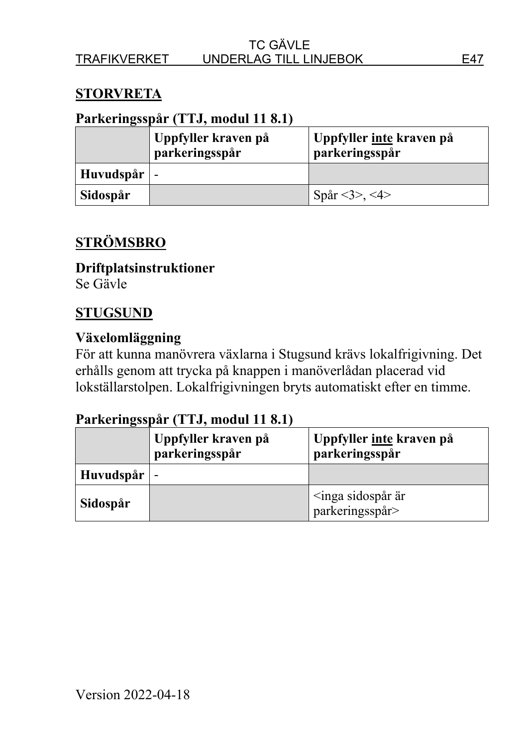### **STORVRETA**

#### **Parkeringsspår (TTJ, modul 11 8.1)**

|                     | Uppfyller kraven på<br>parkeringsspår | Uppfyller <u>inte</u> kraven på<br>parkeringsspår |
|---------------------|---------------------------------------|---------------------------------------------------|
| Huvudspår $\vert$ - |                                       |                                                   |
| Sidospår            |                                       | Spår <3>, <4>                                     |

### **STRÖMSBRO**

#### **Driftplatsinstruktioner**  Se Gävle

# **STUGSUND**

### **Växelomläggning**

För att kunna manövrera växlarna i Stugsund krävs lokalfrigivning. Det erhålls genom att trycka på knappen i manöverlådan placerad vid lokställarstolpen. Lokalfrigivningen bryts automatiskt efter en timme.

|           | Uppfyller kraven på<br>parkeringsspår | Uppfyller inte kraven på<br>parkeringsspår                   |
|-----------|---------------------------------------|--------------------------------------------------------------|
| Huvudspår |                                       |                                                              |
| Sidospår  |                                       | $\langle \text{inga sidospar är} \rangle$<br>parkeringsspår> |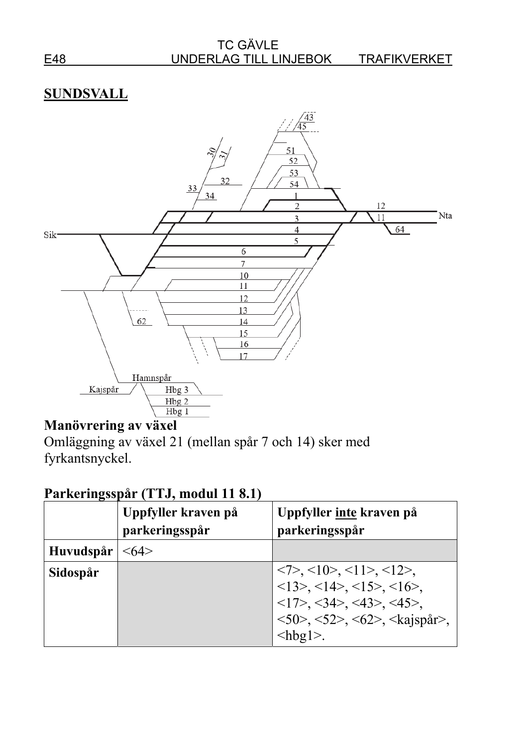#### TC GÄVLE E48 UNDERLAG TILL LINJEBOK TRAFIKVERKET



# **Manövrering av växel**

Omläggning av växel 21 (mellan spår 7 och 14) sker med fyrkantsnyckel.

|           | Uppfyller kraven på<br>parkeringsspår | Uppfyller inte kraven på<br>parkeringsspår                                                                                                                                                                                                                                                                                                                                                                       |
|-----------|---------------------------------------|------------------------------------------------------------------------------------------------------------------------------------------------------------------------------------------------------------------------------------------------------------------------------------------------------------------------------------------------------------------------------------------------------------------|
| Huvudspår | $<$ 64 $>$                            |                                                                                                                                                                                                                                                                                                                                                                                                                  |
| Sidospår  |                                       | $\langle 7 \rangle$ , $\langle 10 \rangle$ , $\langle 11 \rangle$ , $\langle 12 \rangle$ ,<br>$\langle 13 \rangle$ , $\langle 14 \rangle$ , $\langle 15 \rangle$ , $\langle 16 \rangle$ ,<br>$\langle 17 \rangle$ , $\langle 34 \rangle$ , $\langle 43 \rangle$ , $\langle 45 \rangle$ ,<br>$\langle 50 \rangle$ , $\langle 52 \rangle$ , $\langle 62 \rangle$ , $\langle kajspår \rangle$ ,<br>$<$ hbg $\geq$ . |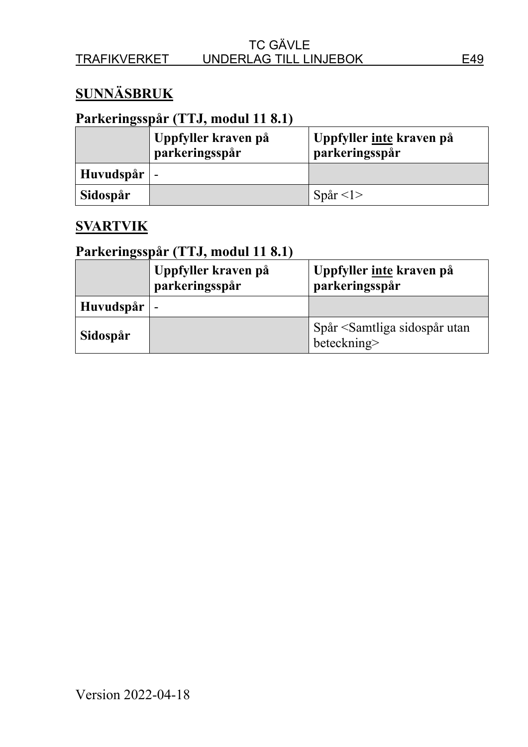# **SUNNÄSBRUK**

## **Parkeringsspår (TTJ, modul 11 8.1)**

|                     | Uppfyller kraven på<br>parkeringsspår | Uppfyller <u>inte</u> kraven på<br>parkeringsspår |
|---------------------|---------------------------------------|---------------------------------------------------|
| Huvudspår $\vert$ - |                                       |                                                   |
| Sidospår            |                                       | Spar < 1                                          |

#### **SVARTVIK**

|           | Uppfyller kraven på<br>parkeringsspår | Uppfyller inte kraven på<br>parkeringsspår                      |
|-----------|---------------------------------------|-----------------------------------------------------------------|
| Huvudspår |                                       |                                                                 |
| Sidospår  |                                       | Spår <samtliga sidospår="" utan<br="">beteckning&gt;</samtliga> |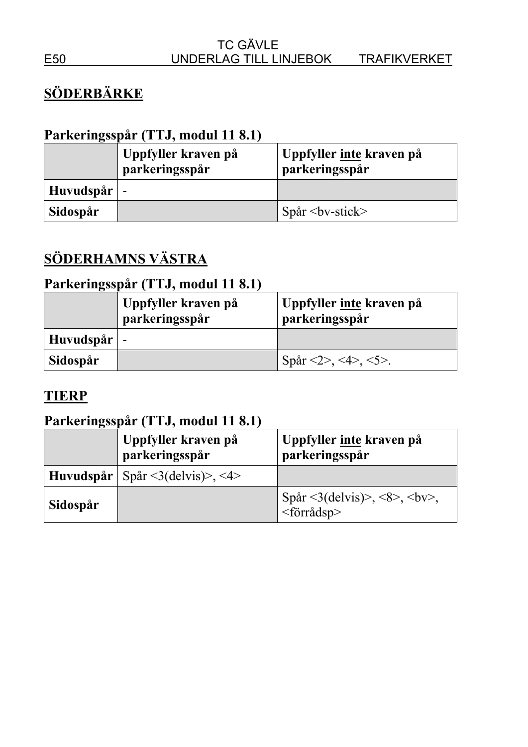# **SÖDERBÄRKE**

# **Parkeringsspår (TTJ, modul 11 8.1)**

|                     | Uppfyller kraven på<br>parkeringsspår | Uppfyller <u>inte</u> kraven på<br>parkeringsspår |
|---------------------|---------------------------------------|---------------------------------------------------|
| Huvudspår $\vert$ - |                                       |                                                   |
| Sidospår            |                                       | $Spar by-stick$                                   |

# **SÖDERHAMNS VÄSTRA**

# **Parkeringsspår (TTJ, modul 11 8.1)**

|                     | Uppfyller kraven på<br>parkeringsspår | Uppfyller inte kraven på<br>parkeringsspår |
|---------------------|---------------------------------------|--------------------------------------------|
| Huvudspår $\vert$ - |                                       |                                            |
| Sidospår            |                                       | Spår <2>, <4>, <5>.                        |

# **TIERP**

|          | Uppfyller kraven på<br>parkeringsspår         | Uppfyller inte kraven på<br>parkeringsspår |
|----------|-----------------------------------------------|--------------------------------------------|
|          | Huvudspår   Spår $\leq$ 3(delvis)>, $\leq$ 4> |                                            |
| Sidospår |                                               | <förrådsp></förrådsp>                      |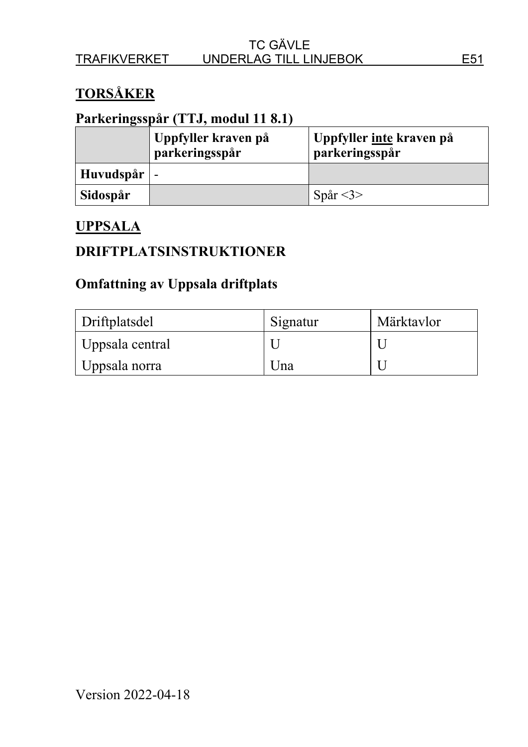# **TORSÅKER**

## **Parkeringsspår (TTJ, modul 11 8.1)**

|                     | Uppfyller kraven på<br>parkeringsspår | Uppfyller <u>inte</u> kraven på<br>parkeringsspår |
|---------------------|---------------------------------------|---------------------------------------------------|
| Huvudspår $\vert$ - |                                       |                                                   |
| Sidospår            |                                       | Spår $<$ 3>                                       |

#### **UPPSALA**

#### **DRIFTPLATSINSTRUKTIONER**

### **Omfattning av Uppsala driftplats**

| Driftplatsdel   | Signatur | Märktavlor |
|-----------------|----------|------------|
| Uppsala central |          |            |
| Uppsala norra   | Una      |            |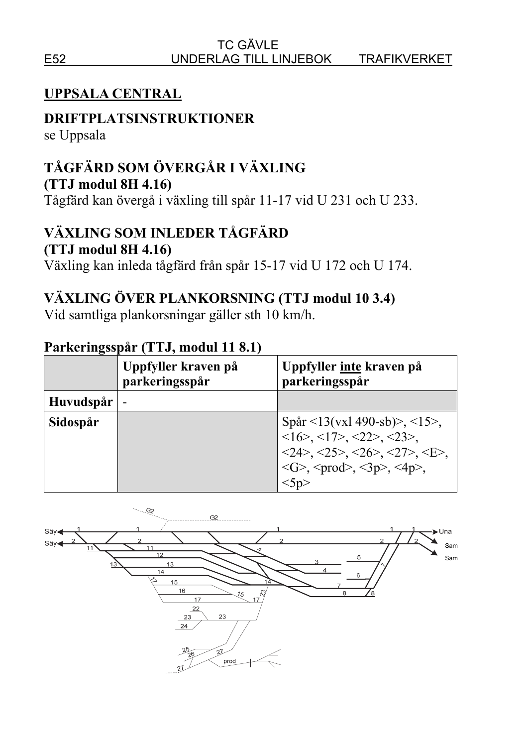# **UPPSALA CENTRAL**

## **DRIFTPLATSINSTRUKTIONER**

se Uppsala

# **TÅGFÄRD SOM ÖVERGÅR I VÄXLING**

**(TTJ modul 8H 4.16)**

Tågfärd kan övergå i växling till spår 11-17 vid U 231 och U 233.

# **VÄXLING SOM INLEDER TÅGFÄRD**

#### **(TTJ modul 8H 4.16)**

Växling kan inleda tågfärd från spår 15-17 vid U 172 och U 174.

# **VÄXLING ÖVER PLANKORSNING (TTJ modul 10 3.4)**

Vid samtliga plankorsningar gäller sth 10 km/h.

|           | Uppfyller kraven på<br>parkeringsspår | Uppfyller inte kraven på<br>parkeringsspår                                                                                                                                                                                                                                              |
|-----------|---------------------------------------|-----------------------------------------------------------------------------------------------------------------------------------------------------------------------------------------------------------------------------------------------------------------------------------------|
| Huvudspår |                                       |                                                                                                                                                                                                                                                                                         |
| Sidospår  |                                       | Spår <13(vxl 490-sb)>, <15>,<br>$\langle 16 \rangle$ , $\langle 17 \rangle$ , $\langle 22 \rangle$ , $\langle 23 \rangle$ ,<br>$<$ 24>, $<$ 25>, $<$ 26>, $<$ 27>, $<$ E>,<br>$\langle G \rangle$ , $\langle \text{prod} \rangle$ , $\langle 3p \rangle$ , $\langle 4p \rangle$ ,<br>5p |

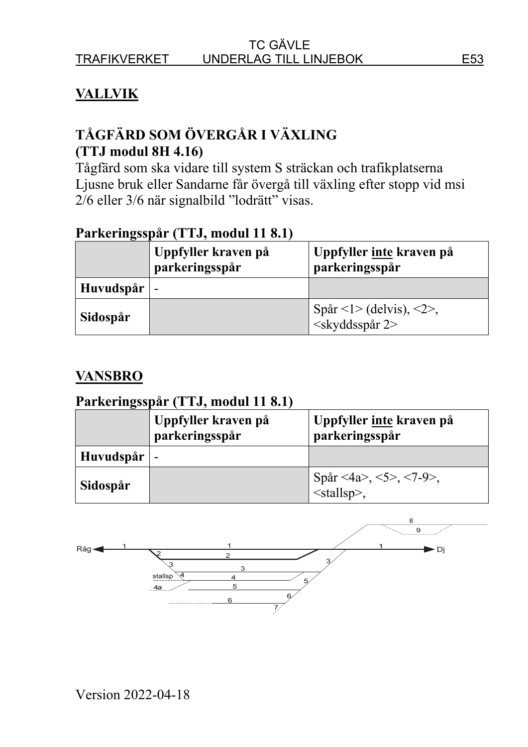# **VALLVIK**

# **TÅGFÄRD SOM ÖVERGÅR I VÄXLING (TTJ modul 8H 4.16)**

Tågfärd som ska vidare till system S sträckan och trafikplatserna Ljusne bruk eller Sandarne får övergå till växling efter stopp vid msi 2/6 eller 3/6 när signalbild "lodrätt" visas.

#### **Parkeringsspår (TTJ, modul 11 8.1)**

|           | Uppfyller kraven på<br>parkeringsspår | Uppfyller inte kraven på<br>parkeringsspår                |
|-----------|---------------------------------------|-----------------------------------------------------------|
| Huvudspår | $\overline{\phantom{0}}$              |                                                           |
| Sidospår  |                                       | Spår <1> (delvis), <2>,<br><skyddsspår 2=""></skyddsspår> |

#### **VANSBRO**

|           | Uppfyller kraven på<br>parkeringsspår | Uppfyller inte kraven på<br>parkeringsspår           |
|-----------|---------------------------------------|------------------------------------------------------|
| Huvudspår |                                       |                                                      |
| Sidospår  |                                       | Spår <4a>, <5>, <7-9>,<br>$\frac{1}{\text{Stallsp}}$ |

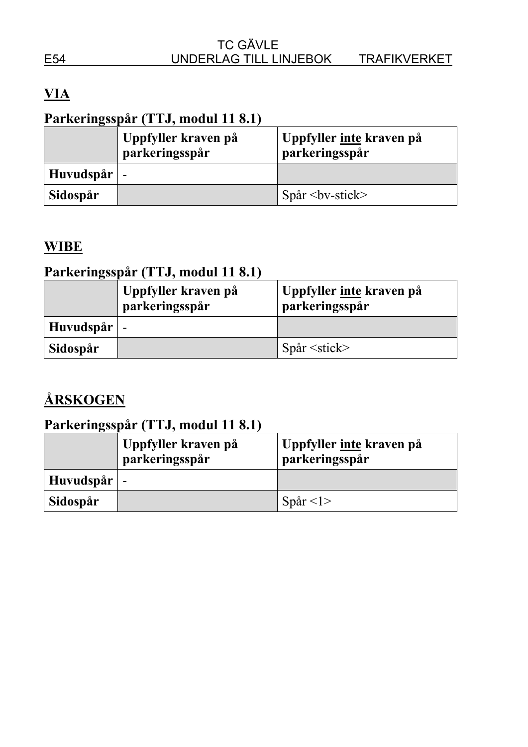# **VIA**

# **Parkeringsspår (TTJ, modul 11 8.1)**

|                     | Uppfyller kraven på<br>parkeringsspår | Uppfyller <u>inte</u> kraven på<br>parkeringsspår |
|---------------------|---------------------------------------|---------------------------------------------------|
| Huvudspår $\vert$ - |                                       |                                                   |
| Sidospår            |                                       | $Spar by-stick$                                   |

#### **WIBE**

# **Parkeringsspår (TTJ, modul 11 8.1)**

|                     | Uppfyller kraven på<br>parkeringsspår | Uppfyller inte kraven på<br>parkeringsspår |
|---------------------|---------------------------------------|--------------------------------------------|
| Huvudspår $\vert$ - |                                       |                                            |
| Sidospår            |                                       | $Spar \leq stick$                          |

# **ÅRSKOGEN**

|           | Uppfyller kraven på<br>parkeringsspår | Uppfyller inte kraven på<br>parkeringsspår |
|-----------|---------------------------------------|--------------------------------------------|
| Huvudspår | ' –                                   |                                            |
| Sidospår  |                                       | Spar <1>                                   |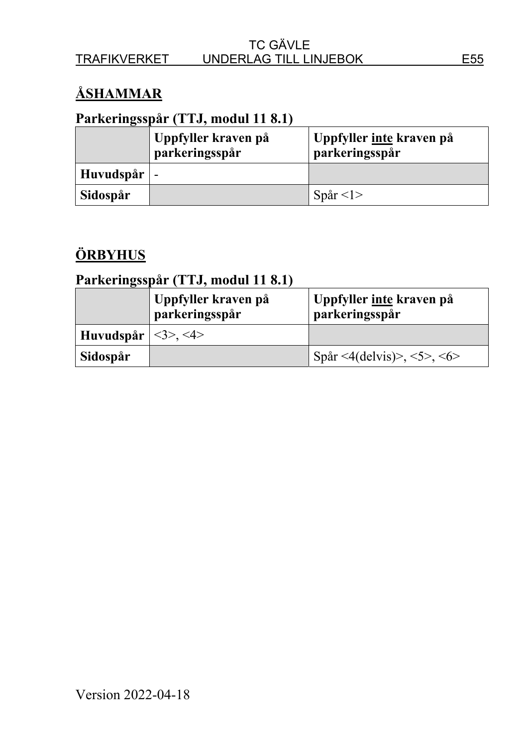# **ÅSHAMMAR**

## **Parkeringsspår (TTJ, modul 11 8.1)**

|                     | Uppfyller kraven på<br>parkeringsspår | Uppfyller <u>inte</u> kraven på<br>parkeringsspår |
|---------------------|---------------------------------------|---------------------------------------------------|
| Huvudspår $\vert$ - |                                       |                                                   |
| Sidospår            |                                       | Spår $\langle$ 1>                                 |

# **ÖRBYHUS**

|                                    | Uppfyller kraven på<br>parkeringsspår | Uppfyller <u>inte</u> kraven på<br>parkeringsspår |
|------------------------------------|---------------------------------------|---------------------------------------------------|
| Huvudspår $  \leq 3 \geq z \leq 4$ |                                       |                                                   |
| Sidospår                           |                                       | Spår <4(delvis)>, <5>, <6>                        |